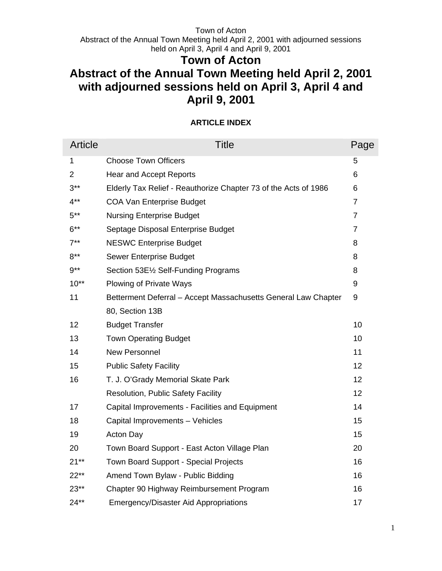Abstract of the Annual Town Meeting held April 2, 2001 with adjourned sessions held on April 3, April 4 and April 9, 2001

# **Town of Acton**

# **Abstract of the Annual Town Meeting held April 2, 2001 with adjourned sessions held on April 3, April 4 and April 9, 2001**

# **ARTICLE INDEX**

| <b>Article</b> | <b>Title</b>                                                    | Page           |
|----------------|-----------------------------------------------------------------|----------------|
| 1              | <b>Choose Town Officers</b>                                     | 5              |
| $\overline{2}$ | <b>Hear and Accept Reports</b>                                  | 6              |
| $3***$         | Elderly Tax Relief - Reauthorize Chapter 73 of the Acts of 1986 | 6              |
| $4***$         | <b>COA Van Enterprise Budget</b>                                | $\overline{7}$ |
| $5***$         | <b>Nursing Enterprise Budget</b>                                | $\overline{7}$ |
| $6***$         | Septage Disposal Enterprise Budget                              | $\overline{7}$ |
| $7^{**}$       | <b>NESWC Enterprise Budget</b>                                  | 8              |
| $8***$         | Sewer Enterprise Budget                                         | 8              |
| $9***$         | Section 53E1/2 Self-Funding Programs                            | 8              |
| $10**$         | <b>Plowing of Private Ways</b>                                  | 9              |
| 11             | Betterment Deferral - Accept Massachusetts General Law Chapter  | 9              |
|                | 80, Section 13B                                                 |                |
| 12             | <b>Budget Transfer</b>                                          | 10             |
| 13             | <b>Town Operating Budget</b>                                    | 10             |
| 14             | <b>New Personnel</b>                                            | 11             |
| 15             | <b>Public Safety Facility</b>                                   | 12             |
| 16             | T. J. O'Grady Memorial Skate Park                               | 12             |
|                | <b>Resolution, Public Safety Facility</b>                       | 12             |
| 17             | Capital Improvements - Facilities and Equipment                 | 14             |
| 18             | Capital Improvements - Vehicles                                 | 15             |
| 19             | <b>Acton Day</b>                                                | 15             |
| 20             | Town Board Support - East Acton Village Plan                    | 20             |
| $21**$         | <b>Town Board Support - Special Projects</b>                    | 16             |
| $22**$         | Amend Town Bylaw - Public Bidding                               | 16             |
| $23**$         | Chapter 90 Highway Reimbursement Program                        | 16             |
| $24**$         | <b>Emergency/Disaster Aid Appropriations</b>                    | 17             |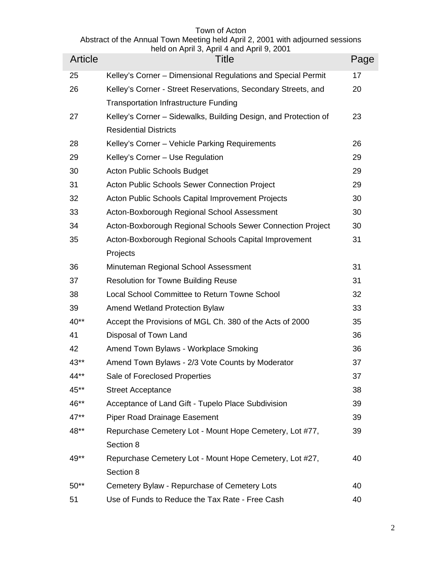| Article | $1000$ of $11000$ , $11000$ in take $11000$ in $0, 200$ in<br><b>Title</b>                      | Page |
|---------|-------------------------------------------------------------------------------------------------|------|
| 25      | Kelley's Corner - Dimensional Regulations and Special Permit                                    | 17   |
| 26      | Kelley's Corner - Street Reservations, Secondary Streets, and                                   | 20   |
|         | <b>Transportation Infrastructure Funding</b>                                                    |      |
| 27      | Kelley's Corner - Sidewalks, Building Design, and Protection of<br><b>Residential Districts</b> | 23   |
| 28      | Kelley's Corner - Vehicle Parking Requirements                                                  | 26   |
| 29      | Kelley's Corner - Use Regulation                                                                | 29   |
| 30      | Acton Public Schools Budget                                                                     | 29   |
| 31      | Acton Public Schools Sewer Connection Project                                                   | 29   |
| 32      | Acton Public Schools Capital Improvement Projects                                               | 30   |
| 33      | Acton-Boxborough Regional School Assessment                                                     | 30   |
| 34      | Acton-Boxborough Regional Schools Sewer Connection Project                                      | 30   |
| 35      | Acton-Boxborough Regional Schools Capital Improvement                                           | 31   |
|         | Projects                                                                                        |      |
| 36      | Minuteman Regional School Assessment                                                            | 31   |
| 37      | Resolution for Towne Building Reuse                                                             | 31   |
| 38      | Local School Committee to Return Towne School                                                   | 32   |
| 39      | <b>Amend Wetland Protection Bylaw</b>                                                           | 33   |
| $40**$  | Accept the Provisions of MGL Ch. 380 of the Acts of 2000                                        | 35   |
| 41      | Disposal of Town Land                                                                           | 36   |
| 42      | Amend Town Bylaws - Workplace Smoking                                                           | 36   |
| 43**    | Amend Town Bylaws - 2/3 Vote Counts by Moderator                                                | 37   |
| 44**    | Sale of Foreclosed Properties                                                                   | 37   |
| 45**    | <b>Street Acceptance</b>                                                                        | 38   |
| 46**    | Acceptance of Land Gift - Tupelo Place Subdivision                                              | 39   |
| $47**$  | <b>Piper Road Drainage Easement</b>                                                             | 39   |
| 48**    | Repurchase Cemetery Lot - Mount Hope Cemetery, Lot #77,                                         | 39   |
|         | Section 8                                                                                       |      |
| 49**    | Repurchase Cemetery Lot - Mount Hope Cemetery, Lot #27,                                         | 40   |
|         | Section 8                                                                                       |      |
| $50**$  | Cemetery Bylaw - Repurchase of Cemetery Lots                                                    | 40   |
| 51      | Use of Funds to Reduce the Tax Rate - Free Cash                                                 | 40   |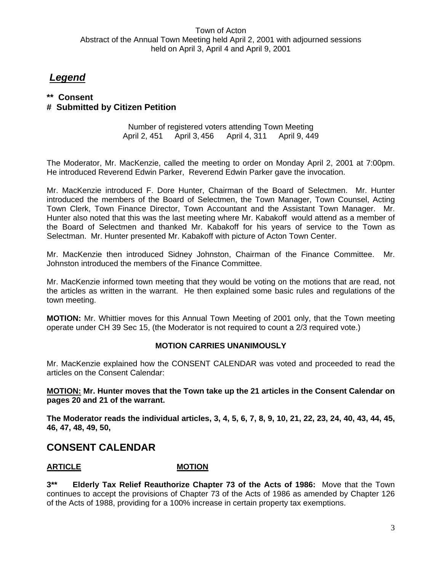# *Legend*

# **\*\* Consent**

# **# Submitted by Citizen Petition**

Number of registered voters attending Town Meeting April 2, 451 April 3, 456 April 4, 311 April 9, 449

The Moderator, Mr. MacKenzie, called the meeting to order on Monday April 2, 2001 at 7:00pm. He introduced Reverend Edwin Parker, Reverend Edwin Parker gave the invocation.

Mr. MacKenzie introduced F. Dore Hunter, Chairman of the Board of Selectmen. Mr. Hunter introduced the members of the Board of Selectmen, the Town Manager, Town Counsel, Acting Town Clerk, Town Finance Director, Town Accountant and the Assistant Town Manager. Mr. Hunter also noted that this was the last meeting where Mr. Kabakoff would attend as a member of the Board of Selectmen and thanked Mr. Kabakoff for his years of service to the Town as Selectman. Mr. Hunter presented Mr. Kabakoff with picture of Acton Town Center.

Mr. MacKenzie then introduced Sidney Johnston, Chairman of the Finance Committee. Mr. Johnston introduced the members of the Finance Committee.

Mr. MacKenzie informed town meeting that they would be voting on the motions that are read, not the articles as written in the warrant. He then explained some basic rules and regulations of the town meeting.

**MOTION:** Mr. Whittier moves for this Annual Town Meeting of 2001 only, that the Town meeting operate under CH 39 Sec 15, (the Moderator is not required to count a 2/3 required vote.)

#### **MOTION CARRIES UNANIMOUSLY**

Mr. MacKenzie explained how the CONSENT CALENDAR was voted and proceeded to read the articles on the Consent Calendar:

**MOTION: Mr. Hunter moves that the Town take up the 21 articles in the Consent Calendar on pages 20 and 21 of the warrant.** 

**The Moderator reads the individual articles, 3, 4, 5, 6, 7, 8, 9, 10, 21, 22, 23, 24, 40, 43, 44, 45, 46, 47, 48, 49, 50,** 

# **CONSENT CALENDAR**

# ARTICLE **MOTION**

**3\*\* Elderly Tax Relief Reauthorize Chapter 73 of the Acts of 1986:** Move that the Town continues to accept the provisions of Chapter 73 of the Acts of 1986 as amended by Chapter 126 of the Acts of 1988, providing for a 100% increase in certain property tax exemptions.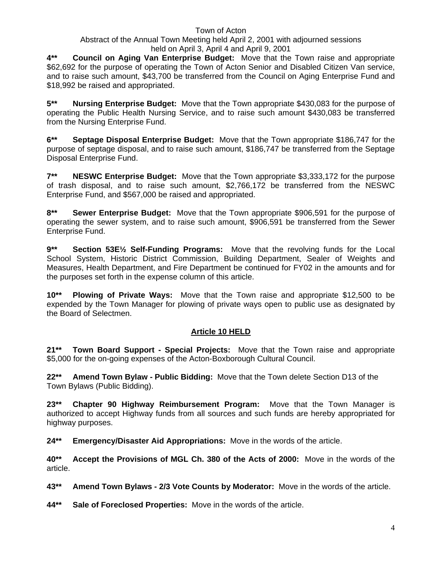# Abstract of the Annual Town Meeting held April 2, 2001 with adjourned sessions held on April 3, April 4 and April 9, 2001

**4\*\* Council on Aging Van Enterprise Budget:** Move that the Town raise and appropriate \$62,692 for the purpose of operating the Town of Acton Senior and Disabled Citizen Van service, and to raise such amount, \$43,700 be transferred from the Council on Aging Enterprise Fund and \$18,992 be raised and appropriated.

**5\*\* Nursing Enterprise Budget:** Move that the Town appropriate \$430,083 for the purpose of operating the Public Health Nursing Service, and to raise such amount \$430,083 be transferred from the Nursing Enterprise Fund.

**6\*\* Septage Disposal Enterprise Budget:** Move that the Town appropriate \$186,747 for the purpose of septage disposal, and to raise such amount, \$186,747 be transferred from the Septage Disposal Enterprise Fund.

**7\*\* NESWC Enterprise Budget:** Move that the Town appropriate \$3,333,172 for the purpose of trash disposal, and to raise such amount, \$2,766,172 be transferred from the NESWC Enterprise Fund, and \$567,000 be raised and appropriated.

**8\*\* Sewer Enterprise Budget:** Move that the Town appropriate \$906,591 for the purpose of operating the sewer system, and to raise such amount, \$906,591 be transferred from the Sewer Enterprise Fund.

**9\*\* Section 53E½ Self-Funding Programs:** Move that the revolving funds for the Local School System, Historic District Commission, Building Department, Sealer of Weights and Measures, Health Department, and Fire Department be continued for FY02 in the amounts and for the purposes set forth in the expense column of this article.

**10\*\* Plowing of Private Ways:** Move that the Town raise and appropriate \$12,500 to be expended by the Town Manager for plowing of private ways open to public use as designated by the Board of Selectmen.

# **Article 10 HELD**

**21\*\* Town Board Support - Special Projects:** Move that the Town raise and appropriate \$5,000 for the on-going expenses of the Acton-Boxborough Cultural Council.

**22\*\* Amend Town Bylaw - Public Bidding:** Move that the Town delete Section D13 of the Town Bylaws (Public Bidding).

**23\*\* Chapter 90 Highway Reimbursement Program:** Move that the Town Manager is authorized to accept Highway funds from all sources and such funds are hereby appropriated for highway purposes.

**24\*\* Emergency/Disaster Aid Appropriations:** Move in the words of the article.

**40\*\* Accept the Provisions of MGL Ch. 380 of the Acts of 2000:** Move in the words of the article.

**43\*\* Amend Town Bylaws - 2/3 Vote Counts by Moderator:** Move in the words of the article.

**44\*\* Sale of Foreclosed Properties:** Move in the words of the article.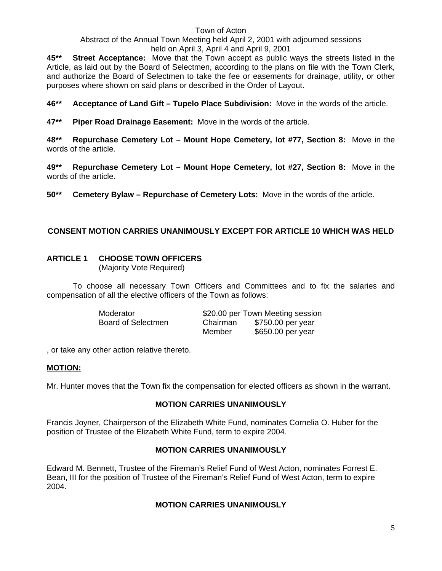# Abstract of the Annual Town Meeting held April 2, 2001 with adjourned sessions held on April 3, April 4 and April 9, 2001

**45\*\* Street Acceptance:** Move that the Town accept as public ways the streets listed in the Article, as laid out by the Board of Selectmen, according to the plans on file with the Town Clerk, and authorize the Board of Selectmen to take the fee or easements for drainage, utility, or other purposes where shown on said plans or described in the Order of Layout.

**46\*\* Acceptance of Land Gift – Tupelo Place Subdivision:** Move in the words of the article.

**47\*\* Piper Road Drainage Easement:** Move in the words of the article.

**48\*\* Repurchase Cemetery Lot – Mount Hope Cemetery, lot #77, Section 8:** Move in the words of the article.

**49\*\* Repurchase Cemetery Lot – Mount Hope Cemetery, lot #27, Section 8:** Move in the words of the article.

**50\*\* Cemetery Bylaw – Repurchase of Cemetery Lots:** Move in the words of the article.

# **CONSENT MOTION CARRIES UNANIMOUSLY EXCEPT FOR ARTICLE 10 WHICH WAS HELD**

# **ARTICLE 1 CHOOSE TOWN OFFICERS**

(Majority Vote Required)

To choose all necessary Town Officers and Committees and to fix the salaries and compensation of all the elective officers of the Town as follows:

| Moderator          |          | \$20.00 per Town Meeting session |
|--------------------|----------|----------------------------------|
| Board of Selectmen | Chairman | \$750.00 per year                |
|                    | Member   | \$650.00 per year                |

, or take any other action relative thereto.

#### **MOTION:**

Mr. Hunter moves that the Town fix the compensation for elected officers as shown in the warrant.

#### **MOTION CARRIES UNANIMOUSLY**

Francis Joyner, Chairperson of the Elizabeth White Fund, nominates Cornelia O. Huber for the position of Trustee of the Elizabeth White Fund, term to expire 2004.

#### **MOTION CARRIES UNANIMOUSLY**

Edward M. Bennett, Trustee of the Fireman's Relief Fund of West Acton, nominates Forrest E. Bean, III for the position of Trustee of the Fireman's Relief Fund of West Acton, term to expire 2004.

#### **MOTION CARRIES UNANIMOUSLY**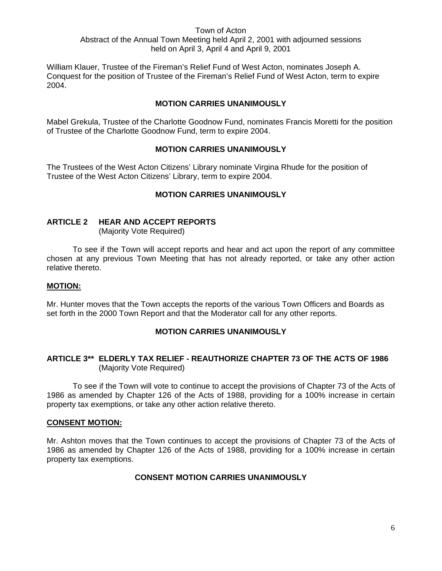William Klauer, Trustee of the Fireman's Relief Fund of West Acton, nominates Joseph A. Conquest for the position of Trustee of the Fireman's Relief Fund of West Acton, term to expire 2004.

#### **MOTION CARRIES UNANIMOUSLY**

Mabel Grekula, Trustee of the Charlotte Goodnow Fund, nominates Francis Moretti for the position of Trustee of the Charlotte Goodnow Fund, term to expire 2004.

#### **MOTION CARRIES UNANIMOUSLY**

The Trustees of the West Acton Citizens' Library nominate Virgina Rhude for the position of Trustee of the West Acton Citizens' Library, term to expire 2004.

#### **MOTION CARRIES UNANIMOUSLY**

### **ARTICLE 2 HEAR AND ACCEPT REPORTS**

(Majority Vote Required)

 To see if the Town will accept reports and hear and act upon the report of any committee chosen at any previous Town Meeting that has not already reported, or take any other action relative thereto.

#### **MOTION:**

Mr. Hunter moves that the Town accepts the reports of the various Town Officers and Boards as set forth in the 2000 Town Report and that the Moderator call for any other reports.

#### **MOTION CARRIES UNANIMOUSLY**

#### **ARTICLE 3\*\* ELDERLY TAX RELIEF - REAUTHORIZE CHAPTER 73 OF THE ACTS OF 1986**  (Majority Vote Required)

 To see if the Town will vote to continue to accept the provisions of Chapter 73 of the Acts of 1986 as amended by Chapter 126 of the Acts of 1988, providing for a 100% increase in certain property tax exemptions, or take any other action relative thereto.

#### **CONSENT MOTION:**

Mr. Ashton moves that the Town continues to accept the provisions of Chapter 73 of the Acts of 1986 as amended by Chapter 126 of the Acts of 1988, providing for a 100% increase in certain property tax exemptions.

#### **CONSENT MOTION CARRIES UNANIMOUSLY**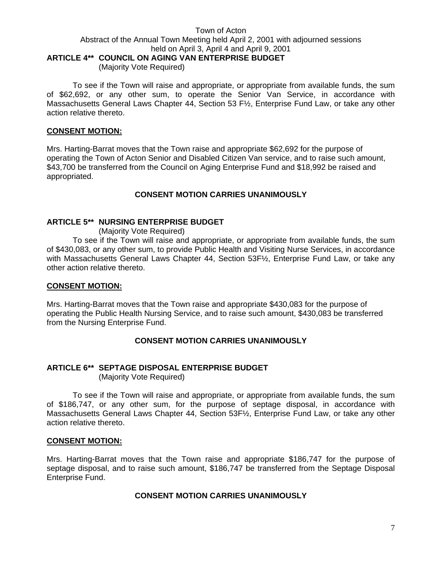#### Town of Acton Abstract of the Annual Town Meeting held April 2, 2001 with adjourned sessions held on April 3, April 4 and April 9, 2001 **ARTICLE 4\*\* COUNCIL ON AGING VAN ENTERPRISE BUDGET** (Majority Vote Required)

 To see if the Town will raise and appropriate, or appropriate from available funds, the sum of \$62,692, or any other sum, to operate the Senior Van Service, in accordance with Massachusetts General Laws Chapter 44, Section 53 F½, Enterprise Fund Law, or take any other action relative thereto.

#### **CONSENT MOTION:**

Mrs. Harting-Barrat moves that the Town raise and appropriate \$62,692 for the purpose of operating the Town of Acton Senior and Disabled Citizen Van service, and to raise such amount, \$43,700 be transferred from the Council on Aging Enterprise Fund and \$18,992 be raised and appropriated.

#### **CONSENT MOTION CARRIES UNANIMOUSLY**

#### **ARTICLE 5\*\* NURSING ENTERPRISE BUDGET**

(Majority Vote Required)

To see if the Town will raise and appropriate, or appropriate from available funds, the sum of \$430,083, or any other sum, to provide Public Health and Visiting Nurse Services, in accordance with Massachusetts General Laws Chapter 44, Section 53F½, Enterprise Fund Law, or take any other action relative thereto.

#### **CONSENT MOTION:**

Mrs. Harting-Barrat moves that the Town raise and appropriate \$430,083 for the purpose of operating the Public Health Nursing Service, and to raise such amount, \$430,083 be transferred from the Nursing Enterprise Fund.

#### **CONSENT MOTION CARRIES UNANIMOUSLY**

#### **ARTICLE 6\*\* SEPTAGE DISPOSAL ENTERPRISE BUDGET**

(Majority Vote Required)

 To see if the Town will raise and appropriate, or appropriate from available funds, the sum of \$186,747, or any other sum, for the purpose of septage disposal, in accordance with Massachusetts General Laws Chapter 44, Section 53F½, Enterprise Fund Law, or take any other action relative thereto.

#### **CONSENT MOTION:**

Mrs. Harting-Barrat moves that the Town raise and appropriate \$186,747 for the purpose of septage disposal, and to raise such amount, \$186,747 be transferred from the Septage Disposal Enterprise Fund.

#### **CONSENT MOTION CARRIES UNANIMOUSLY**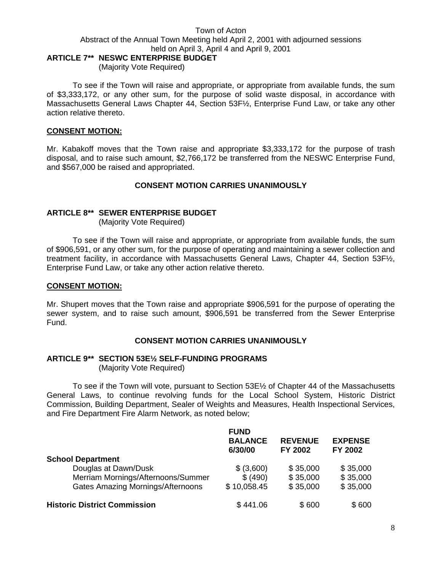# **ARTICLE 7\*\* NESWC ENTERPRISE BUDGET**

(Majority Vote Required)

 To see if the Town will raise and appropriate, or appropriate from available funds, the sum of \$3,333,172, or any other sum, for the purpose of solid waste disposal, in accordance with Massachusetts General Laws Chapter 44, Section 53F½, Enterprise Fund Law, or take any other action relative thereto.

#### **CONSENT MOTION:**

Mr. Kabakoff moves that the Town raise and appropriate \$3,333,172 for the purpose of trash disposal, and to raise such amount, \$2,766,172 be transferred from the NESWC Enterprise Fund, and \$567,000 be raised and appropriated.

#### **CONSENT MOTION CARRIES UNANIMOUSLY**

#### **ARTICLE 8\*\* SEWER ENTERPRISE BUDGET**

(Majority Vote Required)

To see if the Town will raise and appropriate, or appropriate from available funds, the sum of \$906,591, or any other sum, for the purpose of operating and maintaining a sewer collection and treatment facility, in accordance with Massachusetts General Laws, Chapter 44, Section 53F½, Enterprise Fund Law, or take any other action relative thereto.

#### **CONSENT MOTION:**

Mr. Shupert moves that the Town raise and appropriate \$906,591 for the purpose of operating the sewer system, and to raise such amount, \$906,591 be transferred from the Sewer Enterprise Fund.

#### **CONSENT MOTION CARRIES UNANIMOUSLY**

#### **ARTICLE 9\*\* SECTION 53E½ SELF-FUNDING PROGRAMS**

(Majority Vote Required)

To see if the Town will vote, pursuant to Section 53E½ of Chapter 44 of the Massachusetts General Laws, to continue revolving funds for the Local School System, Historic District Commission, Building Department, Sealer of Weights and Measures, Health Inspectional Services, and Fire Department Fire Alarm Network, as noted below;

|                                          | <b>FUND</b><br><b>BALANCE</b><br>6/30/00 | <b>REVENUE</b><br><b>FY 2002</b> | <b>EXPENSE</b><br>FY 2002 |
|------------------------------------------|------------------------------------------|----------------------------------|---------------------------|
| <b>School Department</b>                 |                                          |                                  |                           |
| Douglas at Dawn/Dusk                     | \$ (3,600)                               | \$35,000                         | \$35,000                  |
| Merriam Mornings/Afternoons/Summer       | \$ (490)                                 | \$35,000                         | \$35,000                  |
| <b>Gates Amazing Mornings/Afternoons</b> | \$10,058.45                              | \$35,000                         | \$35,000                  |
| <b>Historic District Commission</b>      | \$441.06                                 | \$600                            | \$600                     |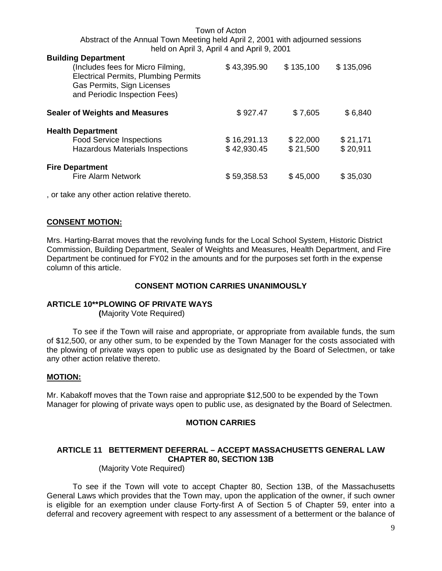| <b>Building Department</b><br>(Includes fees for Micro Filming,<br><b>Electrical Permits, Plumbing Permits</b><br>Gas Permits, Sign Licenses<br>and Periodic Inspection Fees) | \$43,395.90                | \$135,100            | \$135,096            |
|-------------------------------------------------------------------------------------------------------------------------------------------------------------------------------|----------------------------|----------------------|----------------------|
| <b>Sealer of Weights and Measures</b>                                                                                                                                         | \$927.47                   | \$7,605              | \$6,840              |
| <b>Health Department</b><br><b>Food Service Inspections</b><br>Hazardous Materials Inspections                                                                                | \$16,291.13<br>\$42,930.45 | \$22,000<br>\$21,500 | \$21,171<br>\$20,911 |
| <b>Fire Department</b><br><b>Fire Alarm Network</b>                                                                                                                           | \$59,358.53                | \$45,000             | \$35,030             |

, or take any other action relative thereto.

#### **CONSENT MOTION:**

Mrs. Harting-Barrat moves that the revolving funds for the Local School System, Historic District Commission, Building Department, Sealer of Weights and Measures, Health Department, and Fire Department be continued for FY02 in the amounts and for the purposes set forth in the expense column of this article.

#### **CONSENT MOTION CARRIES UNANIMOUSLY**

#### **ARTICLE 10\*\* PLOWING OF PRIVATE WAYS**

 **(**Majority Vote Required)

 To see if the Town will raise and appropriate, or appropriate from available funds, the sum of \$12,500, or any other sum, to be expended by the Town Manager for the costs associated with the plowing of private ways open to public use as designated by the Board of Selectmen, or take any other action relative thereto.

#### **MOTION:**

Mr. Kabakoff moves that the Town raise and appropriate \$12,500 to be expended by the Town Manager for plowing of private ways open to public use, as designated by the Board of Selectmen.

#### **MOTION CARRIES**

#### **ARTICLE 11 BETTERMENT DEFERRAL – ACCEPT MASSACHUSETTS GENERAL LAW CHAPTER 80, SECTION 13B**

(Majority Vote Required)

 To see if the Town will vote to accept Chapter 80, Section 13B, of the Massachusetts General Laws which provides that the Town may, upon the application of the owner, if such owner is eligible for an exemption under clause Forty-first A of Section 5 of Chapter 59, enter into a deferral and recovery agreement with respect to any assessment of a betterment or the balance of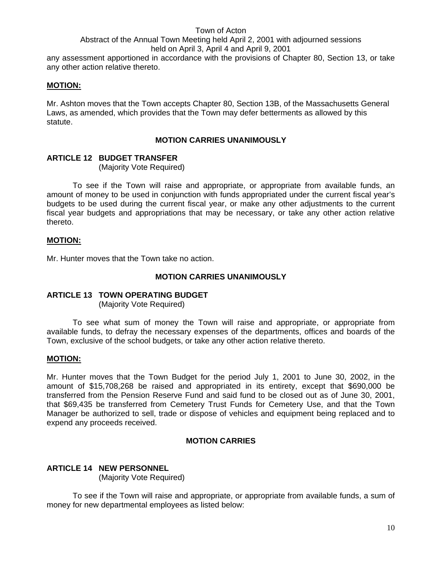any assessment apportioned in accordance with the provisions of Chapter 80, Section 13, or take any other action relative thereto.

#### **MOTION:**

Mr. Ashton moves that the Town accepts Chapter 80, Section 13B, of the Massachusetts General Laws, as amended, which provides that the Town may defer betterments as allowed by this statute.

#### **MOTION CARRIES UNANIMOUSLY**

#### **ARTICLE 12 BUDGET TRANSFER**

(Majority Vote Required)

 To see if the Town will raise and appropriate, or appropriate from available funds, an amount of money to be used in conjunction with funds appropriated under the current fiscal year's budgets to be used during the current fiscal year, or make any other adjustments to the current fiscal year budgets and appropriations that may be necessary, or take any other action relative thereto.

#### **MOTION:**

Mr. Hunter moves that the Town take no action.

#### **MOTION CARRIES UNANIMOUSLY**

#### **ARTICLE 13 TOWN OPERATING BUDGET**

(Majority Vote Required)

 To see what sum of money the Town will raise and appropriate, or appropriate from available funds, to defray the necessary expenses of the departments, offices and boards of the Town, exclusive of the school budgets, or take any other action relative thereto.

#### **MOTION:**

Mr. Hunter moves that the Town Budget for the period July 1, 2001 to June 30, 2002, in the amount of \$15,708,268 be raised and appropriated in its entirety, except that \$690,000 be transferred from the Pension Reserve Fund and said fund to be closed out as of June 30, 2001, that \$69,435 be transferred from Cemetery Trust Funds for Cemetery Use, and that the Town Manager be authorized to sell, trade or dispose of vehicles and equipment being replaced and to expend any proceeds received.

#### **MOTION CARRIES**

#### **ARTICLE 14 NEW PERSONNEL**

(Majority Vote Required)

To see if the Town will raise and appropriate, or appropriate from available funds, a sum of money for new departmental employees as listed below: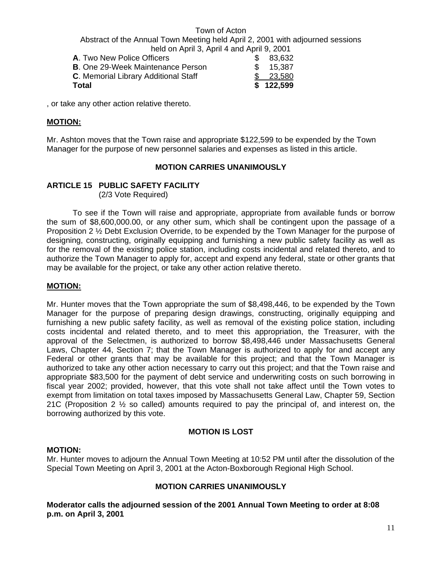| Total                                    |     | \$122,599 |
|------------------------------------------|-----|-----------|
| C. Memorial Library Additional Staff     |     | \$ 23.580 |
| <b>B.</b> One 29-Week Maintenance Person |     | \$15.387  |
| <b>A.</b> Two New Police Officers        | SS. | 83,632    |

, or take any other action relative thereto.

#### **MOTION:**

Mr. Ashton moves that the Town raise and appropriate \$122,599 to be expended by the Town Manager for the purpose of new personnel salaries and expenses as listed in this article.

#### **MOTION CARRIES UNANIMOUSLY**

#### **ARTICLE 15 PUBLIC SAFETY FACILITY**

(2/3 Vote Required)

 To see if the Town will raise and appropriate, appropriate from available funds or borrow the sum of \$8,600,000.00, or any other sum, which shall be contingent upon the passage of a Proposition 2 ½ Debt Exclusion Override, to be expended by the Town Manager for the purpose of designing, constructing, originally equipping and furnishing a new public safety facility as well as for the removal of the existing police station, including costs incidental and related thereto, and to authorize the Town Manager to apply for, accept and expend any federal, state or other grants that may be available for the project, or take any other action relative thereto.

#### **MOTION:**

Mr. Hunter moves that the Town appropriate the sum of \$8,498,446, to be expended by the Town Manager for the purpose of preparing design drawings, constructing, originally equipping and furnishing a new public safety facility, as well as removal of the existing police station, including costs incidental and related thereto, and to meet this appropriation, the Treasurer, with the approval of the Selectmen, is authorized to borrow \$8,498,446 under Massachusetts General Laws, Chapter 44, Section 7; that the Town Manager is authorized to apply for and accept any Federal or other grants that may be available for this project; and that the Town Manager is authorized to take any other action necessary to carry out this project; and that the Town raise and appropriate \$83,500 for the payment of debt service and underwriting costs on such borrowing in fiscal year 2002; provided, however, that this vote shall not take affect until the Town votes to exempt from limitation on total taxes imposed by Massachusetts General Law, Chapter 59, Section 21C (Proposition 2 ½ so called) amounts required to pay the principal of, and interest on, the borrowing authorized by this vote.

#### **MOTION IS LOST**

#### **MOTION:**

Mr. Hunter moves to adjourn the Annual Town Meeting at 10:52 PM until after the dissolution of the Special Town Meeting on April 3, 2001 at the Acton-Boxborough Regional High School.

#### **MOTION CARRIES UNANIMOUSLY**

**Moderator calls the adjourned session of the 2001 Annual Town Meeting to order at 8:08 p.m. on April 3, 2001**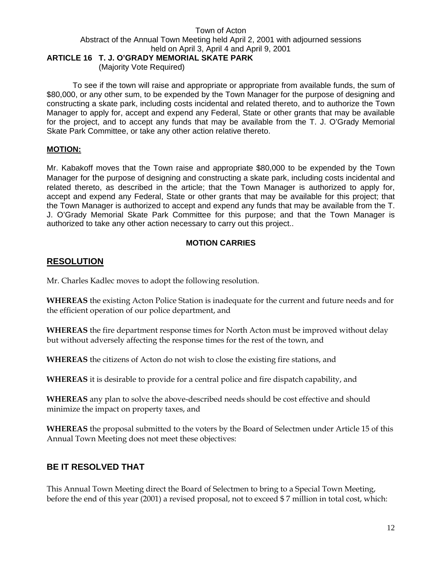#### Town of Acton Abstract of the Annual Town Meeting held April 2, 2001 with adjourned sessions held on April 3, April 4 and April 9, 2001 **ARTICLE 16 T. J. O'GRADY MEMORIAL SKATE PARK**

(Majority Vote Required)

 To see if the town will raise and appropriate or appropriate from available funds, the sum of \$80,000, or any other sum, to be expended by the Town Manager for the purpose of designing and constructing a skate park, including costs incidental and related thereto, and to authorize the Town Manager to apply for, accept and expend any Federal, State or other grants that may be available for the project, and to accept any funds that may be available from the T. J. O'Grady Memorial Skate Park Committee, or take any other action relative thereto.

#### **MOTION:**

Mr. Kabakoff moves that the Town raise and appropriate \$80,000 to be expended by the Town Manager for the purpose of designing and constructing a skate park, including costs incidental and related thereto, as described in the article; that the Town Manager is authorized to apply for, accept and expend any Federal, State or other grants that may be available for this project; that the Town Manager is authorized to accept and expend any funds that may be available from the T. J. O'Grady Memorial Skate Park Committee for this purpose; and that the Town Manager is authorized to take any other action necessary to carry out this project..

# **MOTION CARRIES**

# **RESOLUTION**

Mr. Charles Kadlec moves to adopt the following resolution.

**WHEREAS** the existing Acton Police Station is inadequate for the current and future needs and for the efficient operation of our police department, and

**WHEREAS** the fire department response times for North Acton must be improved without delay but without adversely affecting the response times for the rest of the town, and

**WHEREAS** the citizens of Acton do not wish to close the existing fire stations, and

**WHEREAS** it is desirable to provide for a central police and fire dispatch capability, and

**WHEREAS** any plan to solve the above-described needs should be cost effective and should minimize the impact on property taxes, and

**WHEREAS** the proposal submitted to the voters by the Board of Selectmen under Article 15 of this Annual Town Meeting does not meet these objectives:

# **BE IT RESOLVED THAT**

This Annual Town Meeting direct the Board of Selectmen to bring to a Special Town Meeting, before the end of this year (2001) a revised proposal, not to exceed \$ 7 million in total cost, which: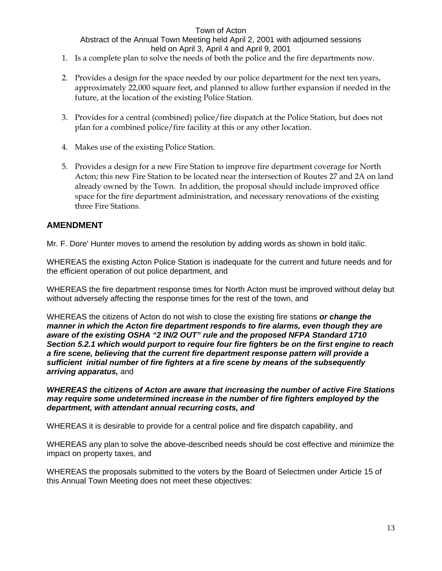- 1. Is a complete plan to solve the needs of both the police and the fire departments now.
- 2. Provides a design for the space needed by our police department for the next ten years, approximately 22,000 square feet, and planned to allow further expansion if needed in the future, at the location of the existing Police Station.
- 3. Provides for a central (combined) police/fire dispatch at the Police Station, but does not plan for a combined police/fire facility at this or any other location.
- 4. Makes use of the existing Police Station.
- 5. Provides a design for a new Fire Station to improve fire department coverage for North Acton; this new Fire Station to be located near the intersection of Routes 27 and 2A on land already owned by the Town. In addition, the proposal should include improved office space for the fire department administration, and necessary renovations of the existing three Fire Stations.

# **AMENDMENT**

Mr. F. Dore' Hunter moves to amend the resolution by adding words as shown in bold italic.

WHEREAS the existing Acton Police Station is inadequate for the current and future needs and for the efficient operation of out police department, and

WHEREAS the fire department response times for North Acton must be improved without delay but without adversely affecting the response times for the rest of the town, and

WHEREAS the citizens of Acton do not wish to close the existing fire stations *or change the manner in which the Acton fire department responds to fire alarms, even though they are aware of the existing OSHA "2 IN/2 OUT" rule and the proposed NFPA Standard 1710 Section 5.2.1 which would purport to require four fire fighters be on the first engine to reach a fire scene, believing that the current fire department response pattern will provide a sufficient initial number of fire fighters at a fire scene by means of the subsequently arriving apparatus,* and

*WHEREAS the citizens of Acton are aware that increasing the number of active Fire Stations may require some undetermined increase in the number of fire fighters employed by the department, with attendant annual recurring costs, and* 

WHEREAS it is desirable to provide for a central police and fire dispatch capability, and

WHEREAS any plan to solve the above-described needs should be cost effective and minimize the impact on property taxes, and

WHEREAS the proposals submitted to the voters by the Board of Selectmen under Article 15 of this Annual Town Meeting does not meet these objectives: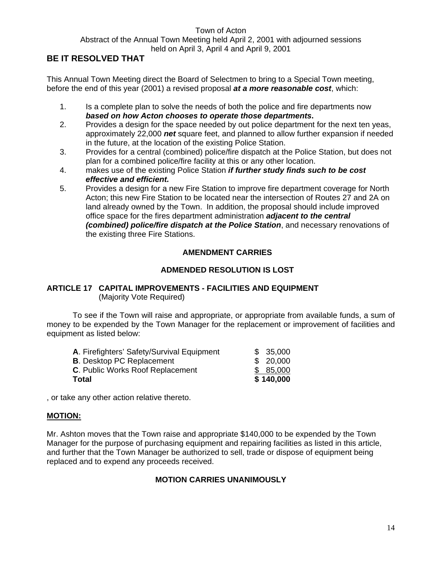Abstract of the Annual Town Meeting held April 2, 2001 with adjourned sessions

held on April 3, April 4 and April 9, 2001

# **BE IT RESOLVED THAT**

This Annual Town Meeting direct the Board of Selectmen to bring to a Special Town meeting, before the end of this year (2001) a revised proposal *at a more reasonable cost*, which:

- 1. Is a complete plan to solve the needs of both the police and fire departments now *based on how Acton chooses to operate those departments***.**
- 2. Provides a design for the space needed by out police department for the next ten yeas, approximately 22,000 *net* square feet, and planned to allow further expansion if needed in the future, at the location of the existing Police Station.
- 3. Provides for a central (combined) police/fire dispatch at the Police Station, but does not plan for a combined police/fire facility at this or any other location.
- 4. makes use of the existing Police Station *if further study finds such to be cost effective and efficient.*
- 5. Provides a design for a new Fire Station to improve fire department coverage for North Acton; this new Fire Station to be located near the intersection of Routes 27 and 2A on land already owned by the Town. In addition, the proposal should include improved office space for the fires department administration *adjacent to the central (combined) police/fire dispatch at the Police Station*, and necessary renovations of the existing three Fire Stations.

# **AMENDMENT CARRIES**

# **ADMENDED RESOLUTION IS LOST**

# **ARTICLE 17 CAPITAL IMPROVEMENTS - FACILITIES AND EQUIPMENT**  (Majority Vote Required)

 To see if the Town will raise and appropriate, or appropriate from available funds, a sum of money to be expended by the Town Manager for the replacement or improvement of facilities and equipment as listed below:

| Total                                      | \$140,000 |
|--------------------------------------------|-----------|
| C. Public Works Roof Replacement           | \$85,000  |
| <b>B.</b> Desktop PC Replacement           | \$20,000  |
| A. Firefighters' Safety/Survival Equipment | \$35,000  |

, or take any other action relative thereto.

# **MOTION:**

Mr. Ashton moves that the Town raise and appropriate \$140,000 to be expended by the Town Manager for the purpose of purchasing equipment and repairing facilities as listed in this article, and further that the Town Manager be authorized to sell, trade or dispose of equipment being replaced and to expend any proceeds received.

# **MOTION CARRIES UNANIMOUSLY**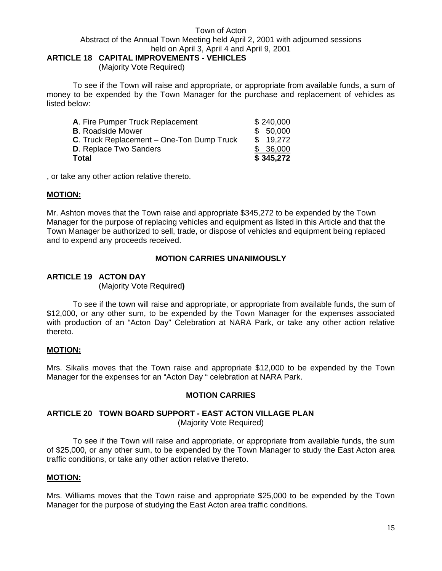#### Town of Acton Abstract of the Annual Town Meeting held April 2, 2001 with adjourned sessions held on April 3, April 4 and April 9, 2001 **ARTICLE 18 CAPITAL IMPROVEMENTS - VEHICLES**

# (Majority Vote Required)

 To see if the Town will raise and appropriate, or appropriate from available funds, a sum of money to be expended by the Town Manager for the purchase and replacement of vehicles as listed below:

| A. Fire Pumper Truck Replacement                 | \$240,000 |
|--------------------------------------------------|-----------|
| <b>B.</b> Roadside Mower                         | \$50,000  |
| <b>C.</b> Truck Replacement – One-Ton Dump Truck | \$19.272  |
| <b>D.</b> Replace Two Sanders                    | \$36,000  |
| Total                                            | \$345,272 |

, or take any other action relative thereto.

#### **MOTION:**

Mr. Ashton moves that the Town raise and appropriate \$345,272 to be expended by the Town Manager for the purpose of replacing vehicles and equipment as listed in this Article and that the Town Manager be authorized to sell, trade, or dispose of vehicles and equipment being replaced and to expend any proceeds received.

#### **MOTION CARRIES UNANIMOUSLY**

#### **ARTICLE 19 ACTON DAY**

(Majority Vote Required**)** 

To see if the town will raise and appropriate, or appropriate from available funds, the sum of \$12,000, or any other sum, to be expended by the Town Manager for the expenses associated with production of an "Acton Day" Celebration at NARA Park, or take any other action relative thereto.

#### **MOTION:**

Mrs. Sikalis moves that the Town raise and appropriate \$12,000 to be expended by the Town Manager for the expenses for an "Acton Day " celebration at NARA Park.

#### **MOTION CARRIES**

# **ARTICLE 20 TOWN BOARD SUPPORT - EAST ACTON VILLAGE PLAN**

(Majority Vote Required)

To see if the Town will raise and appropriate, or appropriate from available funds, the sum of \$25,000, or any other sum, to be expended by the Town Manager to study the East Acton area traffic conditions, or take any other action relative thereto.

#### **MOTION:**

Mrs. Williams moves that the Town raise and appropriate \$25,000 to be expended by the Town Manager for the purpose of studying the East Acton area traffic conditions.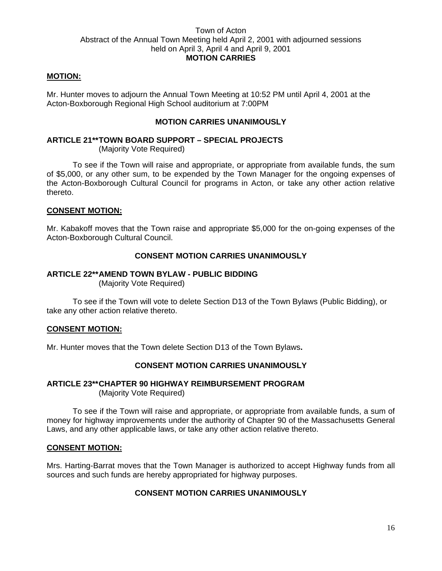#### **MOTION:**

Mr. Hunter moves to adjourn the Annual Town Meeting at 10:52 PM until April 4, 2001 at the Acton-Boxborough Regional High School auditorium at 7:00PM

#### **MOTION CARRIES UNANIMOUSLY**

# **ARTICLE 21\*\* TOWN BOARD SUPPORT – SPECIAL PROJECTS**

(Majority Vote Required)

 To see if the Town will raise and appropriate, or appropriate from available funds, the sum of \$5,000, or any other sum, to be expended by the Town Manager for the ongoing expenses of the Acton-Boxborough Cultural Council for programs in Acton, or take any other action relative thereto.

#### **CONSENT MOTION:**

Mr. Kabakoff moves that the Town raise and appropriate \$5,000 for the on-going expenses of the Acton-Boxborough Cultural Council.

#### **CONSENT MOTION CARRIES UNANIMOUSLY**

#### **ARTICLE 22\*\* AMEND TOWN BYLAW - PUBLIC BIDDING**

(Majority Vote Required)

 To see if the Town will vote to delete Section D13 of the Town Bylaws (Public Bidding), or take any other action relative thereto.

#### **CONSENT MOTION:**

Mr. Hunter moves that the Town delete Section D13 of the Town Bylaws**.** 

#### **CONSENT MOTION CARRIES UNANIMOUSLY**

#### **ARTICLE 23\*\* CHAPTER 90 HIGHWAY REIMBURSEMENT PROGRAM** (Majority Vote Required)

 To see if the Town will raise and appropriate, or appropriate from available funds, a sum of money for highway improvements under the authority of Chapter 90 of the Massachusetts General Laws, and any other applicable laws, or take any other action relative thereto.

#### **CONSENT MOTION:**

Mrs. Harting-Barrat moves that the Town Manager is authorized to accept Highway funds from all sources and such funds are hereby appropriated for highway purposes.

# **CONSENT MOTION CARRIES UNANIMOUSLY**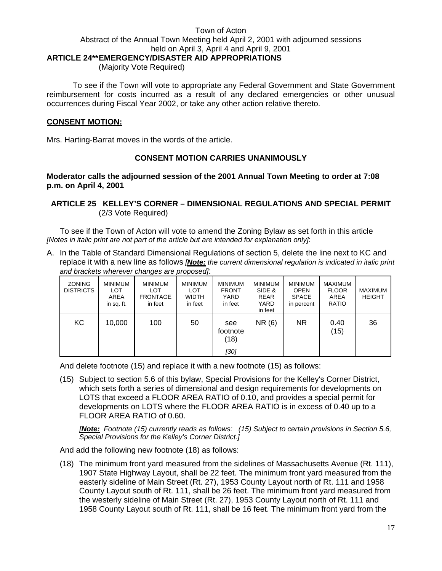### Town of Acton Abstract of the Annual Town Meeting held April 2, 2001 with adjourned sessions held on April 3, April 4 and April 9, 2001 **ARTICLE 24\*\* EMERGENCY/DISASTER AID APPROPRIATIONS**

(Majority Vote Required)

 To see if the Town will vote to appropriate any Federal Government and State Government reimbursement for costs incurred as a result of any declared emergencies or other unusual occurrences during Fiscal Year 2002, or take any other action relative thereto.

#### **CONSENT MOTION:**

Mrs. Harting-Barrat moves in the words of the article.

#### **CONSENT MOTION CARRIES UNANIMOUSLY**

**Moderator calls the adjourned session of the 2001 Annual Town Meeting to order at 7:08 p.m. on April 4, 2001** 

#### **ARTICLE 25 KELLEY'S CORNER – DIMENSIONAL REGULATIONS AND SPECIAL PERMIT**  (2/3 Vote Required)

To see if the Town of Acton will vote to amend the Zoning Bylaw as set forth in this article *[Notes in italic print are not part of the article but are intended for explanation only]*:

A. In the Table of Standard Dimensional Regulations of section 5, delete the line next to KC and replace it with a new line as follows *[Note: the current dimensional regulation is indicated in italic print and brackets wherever changes are proposed]*:

| <b>ZONING</b><br><b>DISTRICTS</b> | <b>MINIMUM</b><br><b>LOT</b><br>AREA<br>in sq. ft. | <b>MINIMUM</b><br><b>LOT</b><br><b>FRONTAGE</b><br>in feet | <b>MINIMUM</b><br><b>LOT</b><br><b>WIDTH</b><br>in feet | <b>MINIMUM</b><br><b>FRONT</b><br>YARD<br>in feet | <b>MINIMUM</b><br>SIDE &<br><b>REAR</b><br>YARD<br>in feet | <b>MINIMUM</b><br><b>OPEN</b><br><b>SPACE</b><br>in percent | MAXIMUM<br><b>FLOOR</b><br>AREA<br><b>RATIO</b> | <b>MAXIMUM</b><br><b>HEIGHT</b> |
|-----------------------------------|----------------------------------------------------|------------------------------------------------------------|---------------------------------------------------------|---------------------------------------------------|------------------------------------------------------------|-------------------------------------------------------------|-------------------------------------------------|---------------------------------|
| KC                                | 10,000                                             | 100                                                        | 50                                                      | see<br>footnote<br>(18)<br>[30]                   | NR (6)                                                     | NR.                                                         | 0.40<br>(15)                                    | 36                              |

And delete footnote (15) and replace it with a new footnote (15) as follows:

(15) Subject to section 5.6 of this bylaw, Special Provisions for the Kelley's Corner District, which sets forth a series of dimensional and design requirements for developments on LOTS that exceed a FLOOR AREA RATIO of 0.10, and provides a special permit for developments on LOTS where the FLOOR AREA RATIO is in excess of 0.40 up to a FLOOR AREA RATIO of 0.60.

*[Note: Footnote (15) currently reads as follows: (15) Subject to certain provisions in Section 5.6, Special Provisions for the Kelley's Corner District.]* 

And add the following new footnote (18) as follows:

(18) The minimum front yard measured from the sidelines of Massachusetts Avenue (Rt. 111), 1907 State Highway Layout, shall be 22 feet. The minimum front yard measured from the easterly sideline of Main Street (Rt. 27), 1953 County Layout north of Rt. 111 and 1958 County Layout south of Rt. 111, shall be 26 feet. The minimum front yard measured from the westerly sideline of Main Street (Rt. 27), 1953 County Layout north of Rt. 111 and 1958 County Layout south of Rt. 111, shall be 16 feet. The minimum front yard from the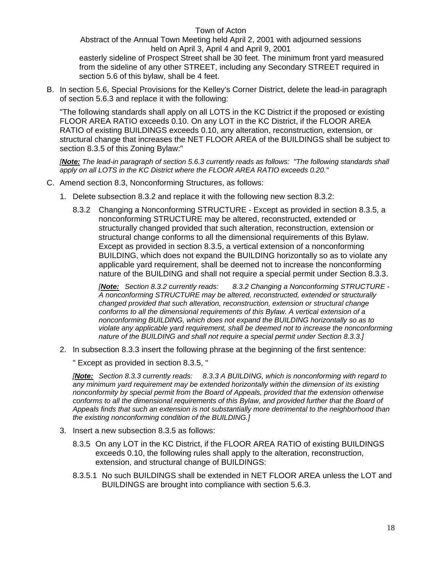Abstract of the Annual Town Meeting held April 2, 2001 with adjourned sessions held on April 3, April 4 and April 9, 2001

easterly sideline of Prospect Street shall be 30 feet. The minimum front yard measured from the sideline of any other STREET, including any Secondary STREET required in section 5.6 of this bylaw, shall be 4 feet.

B. In section 5.6, Special Provisions for the Kelley's Corner District, delete the lead-in paragraph of section 5.6.3 and replace it with the following:

"The following standards shall apply on all LOTS in the KC District if the proposed or existing FLOOR AREA RATIO exceeds 0.10. On any LOT in the KC District, if the FLOOR AREA RATIO of existing BUILDINGS exceeds 0.10, any alteration, reconstruction, extension, or structural change that increases the NET FLOOR AREA of the BUILDINGS shall be subject to section 8.3.5 of this Zoning Bylaw:"

*[Note: The lead-in paragraph of section 5.6.3 currently reads as follows: "The following standards shall apply on all LOTS in the KC District where the FLOOR AREA RATIO exceeds 0.20."* 

- C. Amend section 8.3, Nonconforming Structures, as follows:
	- 1. Delete subsection 8.3.2 and replace it with the following new section 8.3.2:
		- 8.3.2 Changing a Nonconforming STRUCTURE Except as provided in section 8.3.5, a nonconforming STRUCTURE may be altered, reconstructed, extended or structurally changed provided that such alteration, reconstruction, extension or structural change conforms to all the dimensional requirements of this Bylaw. Except as provided in section 8.3.5, a vertical extension of a nonconforming BUILDING, which does not expand the BUILDING horizontally so as to violate any applicable yard requirement, shall be deemed not to increase the nonconforming nature of the BUILDING and shall not require a special permit under Section 8.3.3.

*[Note: Section 8.3.2 currently reads: 8.3.2 Changing a Nonconforming STRUCTURE - A nonconforming STRUCTURE may be altered, reconstructed, extended or structurally changed provided that such alteration, reconstruction, extension or structural change conforms to all the dimensional requirements of this Bylaw. A vertical extension of a nonconforming BUILDING, which does not expand the BUILDING horizontally so as to violate any applicable yard requirement, shall be deemed not to increase the nonconforming nature of the BUILDING and shall not require a special permit under Section 8.3.3.]* 

2. In subsection 8.3.3 insert the following phrase at the beginning of the first sentence:

" Except as provided in section 8.3.5, "

*[Note: Section 8.3.3 currently reads: 8.3.3 A BUILDING, which is nonconforming with regard to any minimum yard requirement may be extended horizontally within the dimension of its existing nonconformity by special permit from the Board of Appeals, provided that the extension otherwise conforms to all the dimensional requirements of this Bylaw, and provided further that the Board of Appeals finds that such an extension is not substantially more detrimental to the neighborhood than the existing nonconforming condition of the BUILDING.]* 

- 3. Insert a new subsection 8.3.5 as follows:
	- 8.3.5 On any LOT in the KC District, if the FLOOR AREA RATIO of existing BUILDINGS exceeds 0.10, the following rules shall apply to the alteration, reconstruction, extension, and structural change of BUILDINGS:
	- 8.3.5.1 No such BUILDINGS shall be extended in NET FLOOR AREA unless the LOT and BUILDINGS are brought into compliance with section 5.6.3.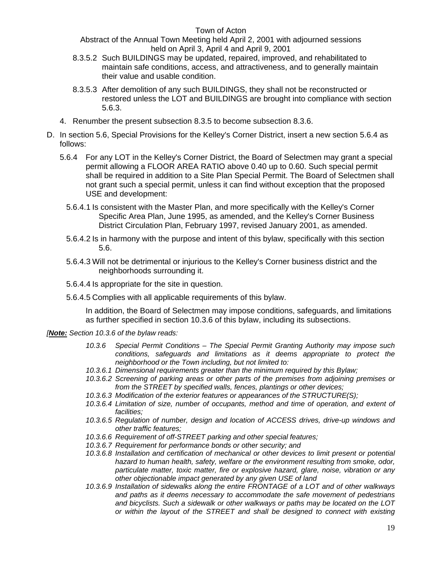Abstract of the Annual Town Meeting held April 2, 2001 with adjourned sessions held on April 3, April 4 and April 9, 2001

- 8.3.5.2 Such BUILDINGS may be updated, repaired, improved, and rehabilitated to maintain safe conditions, access, and attractiveness, and to generally maintain their value and usable condition.
- 8.3.5.3 After demolition of any such BUILDINGS, they shall not be reconstructed or restored unless the LOT and BUILDINGS are brought into compliance with section 5.6.3.
- 4. Renumber the present subsection 8.3.5 to become subsection 8.3.6.
- D. In section 5.6, Special Provisions for the Kelley's Corner District, insert a new section 5.6.4 as follows:
	- 5.6.4 For any LOT in the Kelley's Corner District, the Board of Selectmen may grant a special permit allowing a FLOOR AREA RATIO above 0.40 up to 0.60. Such special permit shall be required in addition to a Site Plan Special Permit. The Board of Selectmen shall not grant such a special permit, unless it can find without exception that the proposed USE and development:
		- 5.6.4.1 Is consistent with the Master Plan, and more specifically with the Kelley's Corner Specific Area Plan, June 1995, as amended, and the Kelley's Corner Business District Circulation Plan, February 1997, revised January 2001, as amended.
		- 5.6.4.2 Is in harmony with the purpose and intent of this bylaw, specifically with this section 5.6.
		- 5.6.4.3 Will not be detrimental or injurious to the Kelley's Corner business district and the neighborhoods surrounding it.
		- 5.6.4.4 Is appropriate for the site in question.
		- 5.6.4.5 Complies with all applicable requirements of this bylaw.

In addition, the Board of Selectmen may impose conditions, safeguards, and limitations as further specified in section 10.3.6 of this bylaw, including its subsections.

#### *[Note: Section 10.3.6 of the bylaw reads:*

- *10.3.6 Special Permit Conditions The Special Permit Granting Authority may impose such conditions, safeguards and limitations as it deems appropriate to protect the neighborhood or the Town including, but not limited to:*
- *10.3.6.1 Dimensional requirements greater than the minimum required by this Bylaw;*
- *10.3.6.2 Screening of parking areas or other parts of the premises from adjoining premises or from the STREET by specified walls, fences, plantings or other devices;*
- *10.3.6.3 Modification of the exterior features or appearances of the STRUCTURE(S);*
- *10.3.6.4 Limitation of size, number of occupants, method and time of operation, and extent of facilities;*
- *10.3.6.5 Regulation of number, design and location of ACCESS drives, drive-up windows and other traffic features;*
- *10.3.6.6 Requirement of off-STREET parking and other special features;*
- *10.3.6.7 Requirement for performance bonds or other security; and*
- *10.3.6.8 Installation and certification of mechanical or other devices to limit present or potential hazard to human health, safety, welfare or the environment resulting from smoke, odor, particulate matter, toxic matter, fire or explosive hazard, glare, noise, vibration or any other objectionable impact generated by any given USE of land*
- *10.3.6.9 Installation of sidewalks along the entire FRONTAGE of a LOT and of other walkways and paths as it deems necessary to accommodate the safe movement of pedestrians and bicyclists. Such a sidewalk or other walkways or paths may be located on the LOT or within the layout of the STREET and shall be designed to connect with existing*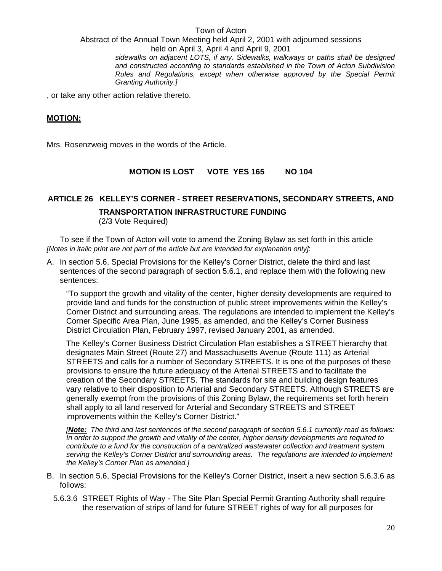Town of Acton Abstract of the Annual Town Meeting held April 2, 2001 with adjourned sessions held on April 3, April 4 and April 9, 2001 *sidewalks on adjacent LOTS, if any. Sidewalks, walkways or paths shall be designed and constructed according to standards established in the Town of Acton Subdivision Rules and Regulations, except when otherwise approved by the Special Permit Granting Authority.]* 

, or take any other action relative thereto.

#### **MOTION:**

Mrs. Rosenzweig moves in the words of the Article.

#### **MOTION IS LOST VOTE YES 165 NO 104**

# **ARTICLE 26 KELLEY'S CORNER - STREET RESERVATIONS, SECONDARY STREETS, AND TRANSPORTATION INFRASTRUCTURE FUNDING**

(2/3 Vote Required)

To see if the Town of Acton will vote to amend the Zoning Bylaw as set forth in this article *[Notes in italic print are not part of the article but are intended for explanation only]*:

A. In section 5.6, Special Provisions for the Kelley's Corner District, delete the third and last sentences of the second paragraph of section 5.6.1, and replace them with the following new sentences:

 "To support the growth and vitality of the center, higher density developments are required to provide land and funds for the construction of public street improvements within the Kelley's Corner District and surrounding areas. The regulations are intended to implement the Kelley's Corner Specific Area Plan, June 1995, as amended, and the Kelley's Corner Business District Circulation Plan, February 1997, revised January 2001, as amended.

 The Kelley's Corner Business District Circulation Plan establishes a STREET hierarchy that designates Main Street (Route 27) and Massachusetts Avenue (Route 111) as Arterial STREETS and calls for a number of Secondary STREETS. It is one of the purposes of these provisions to ensure the future adequacy of the Arterial STREETS and to facilitate the creation of the Secondary STREETS. The standards for site and building design features vary relative to their disposition to Arterial and Secondary STREETS. Although STREETS are generally exempt from the provisions of this Zoning Bylaw, the requirements set forth herein shall apply to all land reserved for Arterial and Secondary STREETS and STREET improvements within the Kelley's Corner District."

*[Note: The third and last sentences of the second paragraph of section 5.6.1 currently read as follows: In order to support the growth and vitality of the center, higher density developments are required to contribute to a fund for the construction of a centralized wastewater collection and treatment system serving the Kelley's Corner District and surrounding areas. The regulations are intended to implement the Kelley's Corner Plan as amended.]* 

- B. In section 5.6, Special Provisions for the Kelley's Corner District, insert a new section 5.6.3.6 as follows:
	- 5.6.3.6 STREET Rights of Way The Site Plan Special Permit Granting Authority shall require the reservation of strips of land for future STREET rights of way for all purposes for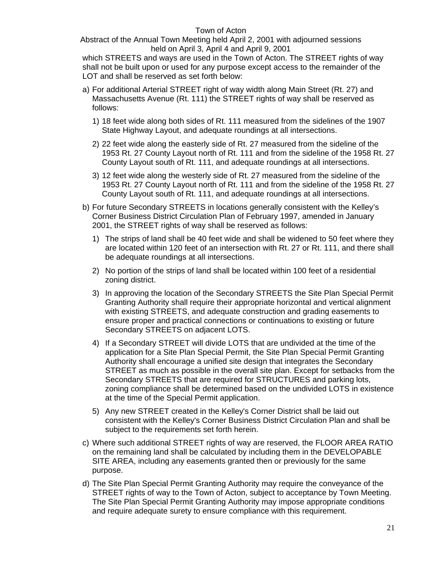Abstract of the Annual Town Meeting held April 2, 2001 with adjourned sessions held on April 3, April 4 and April 9, 2001

which STREETS and ways are used in the Town of Acton. The STREET rights of way shall not be built upon or used for any purpose except access to the remainder of the LOT and shall be reserved as set forth below:

- a) For additional Arterial STREET right of way width along Main Street (Rt. 27) and Massachusetts Avenue (Rt. 111) the STREET rights of way shall be reserved as follows:
	- 1) 18 feet wide along both sides of Rt. 111 measured from the sidelines of the 1907 State Highway Layout, and adequate roundings at all intersections.
	- 2) 22 feet wide along the easterly side of Rt. 27 measured from the sideline of the 1953 Rt. 27 County Layout north of Rt. 111 and from the sideline of the 1958 Rt. 27 County Layout south of Rt. 111, and adequate roundings at all intersections.
	- 3) 12 feet wide along the westerly side of Rt. 27 measured from the sideline of the 1953 Rt. 27 County Layout north of Rt. 111 and from the sideline of the 1958 Rt. 27 County Layout south of Rt. 111, and adequate roundings at all intersections.
- b) For future Secondary STREETS in locations generally consistent with the Kelley's Corner Business District Circulation Plan of February 1997, amended in January 2001, the STREET rights of way shall be reserved as follows:
	- 1) The strips of land shall be 40 feet wide and shall be widened to 50 feet where they are located within 120 feet of an intersection with Rt. 27 or Rt. 111, and there shall be adequate roundings at all intersections.
	- 2) No portion of the strips of land shall be located within 100 feet of a residential zoning district.
	- 3) In approving the location of the Secondary STREETS the Site Plan Special Permit Granting Authority shall require their appropriate horizontal and vertical alignment with existing STREETS, and adequate construction and grading easements to ensure proper and practical connections or continuations to existing or future Secondary STREETS on adjacent LOTS.
	- 4) If a Secondary STREET will divide LOTS that are undivided at the time of the application for a Site Plan Special Permit, the Site Plan Special Permit Granting Authority shall encourage a unified site design that integrates the Secondary STREET as much as possible in the overall site plan. Except for setbacks from the Secondary STREETS that are required for STRUCTURES and parking lots, zoning compliance shall be determined based on the undivided LOTS in existence at the time of the Special Permit application.
	- 5) Any new STREET created in the Kelley's Corner District shall be laid out consistent with the Kelley's Corner Business District Circulation Plan and shall be subject to the requirements set forth herein.
- c) Where such additional STREET rights of way are reserved, the FLOOR AREA RATIO on the remaining land shall be calculated by including them in the DEVELOPABLE SITE AREA, including any easements granted then or previously for the same purpose.
- d) The Site Plan Special Permit Granting Authority may require the conveyance of the STREET rights of way to the Town of Acton, subject to acceptance by Town Meeting. The Site Plan Special Permit Granting Authority may impose appropriate conditions and require adequate surety to ensure compliance with this requirement.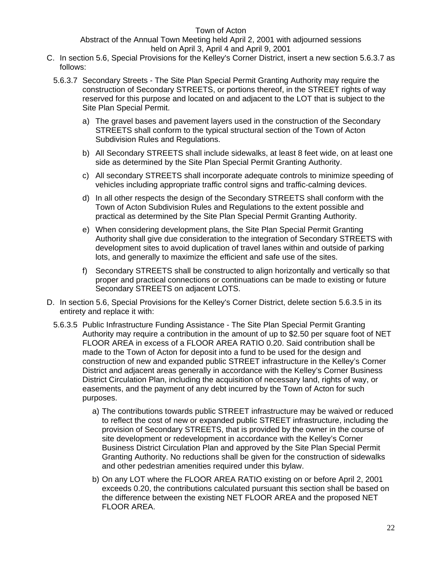Abstract of the Annual Town Meeting held April 2, 2001 with adjourned sessions held on April 3, April 4 and April 9, 2001

- C. In section 5.6, Special Provisions for the Kelley's Corner District, insert a new section 5.6.3.7 as follows:
	- 5.6.3.7 Secondary Streets The Site Plan Special Permit Granting Authority may require the construction of Secondary STREETS, or portions thereof, in the STREET rights of way reserved for this purpose and located on and adjacent to the LOT that is subject to the Site Plan Special Permit.
		- a) The gravel bases and pavement layers used in the construction of the Secondary STREETS shall conform to the typical structural section of the Town of Acton Subdivision Rules and Regulations.
		- b) All Secondary STREETS shall include sidewalks, at least 8 feet wide, on at least one side as determined by the Site Plan Special Permit Granting Authority.
		- c) All secondary STREETS shall incorporate adequate controls to minimize speeding of vehicles including appropriate traffic control signs and traffic-calming devices.
		- d) In all other respects the design of the Secondary STREETS shall conform with the Town of Acton Subdivision Rules and Regulations to the extent possible and practical as determined by the Site Plan Special Permit Granting Authority.
		- e) When considering development plans, the Site Plan Special Permit Granting Authority shall give due consideration to the integration of Secondary STREETS with development sites to avoid duplication of travel lanes within and outside of parking lots, and generally to maximize the efficient and safe use of the sites.
		- f) Secondary STREETS shall be constructed to align horizontally and vertically so that proper and practical connections or continuations can be made to existing or future Secondary STREETS on adjacent LOTS.
- D. In section 5.6, Special Provisions for the Kelley's Corner District, delete section 5.6.3.5 in its entirety and replace it with:
	- 5.6.3.5 Public Infrastructure Funding Assistance The Site Plan Special Permit Granting Authority may require a contribution in the amount of up to \$2.50 per square foot of NET FLOOR AREA in excess of a FLOOR AREA RATIO 0.20. Said contribution shall be made to the Town of Acton for deposit into a fund to be used for the design and construction of new and expanded public STREET infrastructure in the Kelley's Corner District and adjacent areas generally in accordance with the Kelley's Corner Business District Circulation Plan, including the acquisition of necessary land, rights of way, or easements, and the payment of any debt incurred by the Town of Acton for such purposes.
		- a) The contributions towards public STREET infrastructure may be waived or reduced to reflect the cost of new or expanded public STREET infrastructure, including the provision of Secondary STREETS, that is provided by the owner in the course of site development or redevelopment in accordance with the Kelley's Corner Business District Circulation Plan and approved by the Site Plan Special Permit Granting Authority. No reductions shall be given for the construction of sidewalks and other pedestrian amenities required under this bylaw.
		- b) On any LOT where the FLOOR AREA RATIO existing on or before April 2, 2001 exceeds 0.20, the contributions calculated pursuant this section shall be based on the difference between the existing NET FLOOR AREA and the proposed NET FLOOR AREA.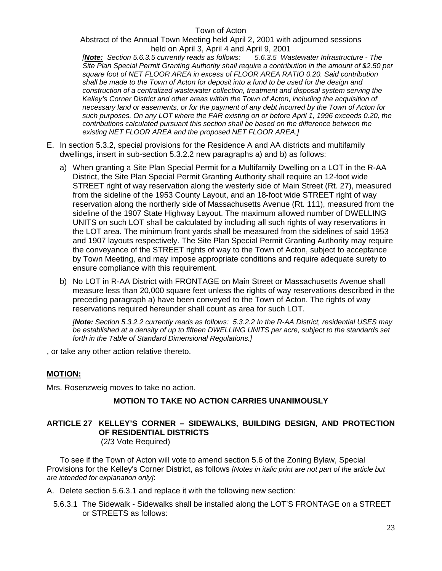Abstract of the Annual Town Meeting held April 2, 2001 with adjourned sessions held on April 3, April 4 and April 9, 2001

*[Note: Section 5.6.3.5 currently reads as follows: 5.6.3.5 Wastewater Infrastructure - The Site Plan Special Permit Granting Authority shall require a contribution in the amount of \$2.50 per square foot of NET FLOOR AREA in excess of FLOOR AREA RATIO 0.20. Said contribution shall be made to the Town of Acton for deposit into a fund to be used for the design and construction of a centralized wastewater collection, treatment and disposal system serving the Kelley's Corner District and other areas within the Town of Acton, including the acquisition of necessary land or easements, or for the payment of any debt incurred by the Town of Acton for such purposes. On any LOT where the FAR existing on or before April 1, 1996 exceeds 0.20, the contributions calculated pursuant this section shall be based on the difference between the existing NET FLOOR AREA and the proposed NET FLOOR AREA.]* 

- E. In section 5.3.2, special provisions for the Residence A and AA districts and multifamily dwellings, insert in sub-section 5.3.2.2 new paragraphs a) and b) as follows:
	- a) When granting a Site Plan Special Permit for a Multifamily Dwelling on a LOT in the R-AA District, the Site Plan Special Permit Granting Authority shall require an 12-foot wide STREET right of way reservation along the westerly side of Main Street (Rt. 27), measured from the sideline of the 1953 County Layout, and an 18-foot wide STREET right of way reservation along the northerly side of Massachusetts Avenue (Rt. 111), measured from the sideline of the 1907 State Highway Layout. The maximum allowed number of DWELLING UNITS on such LOT shall be calculated by including all such rights of way reservations in the LOT area. The minimum front yards shall be measured from the sidelines of said 1953 and 1907 layouts respectively. The Site Plan Special Permit Granting Authority may require the conveyance of the STREET rights of way to the Town of Acton, subject to acceptance by Town Meeting, and may impose appropriate conditions and require adequate surety to ensure compliance with this requirement.
	- b) No LOT in R-AA District with FRONTAGE on Main Street or Massachusetts Avenue shall measure less than 20,000 square feet unless the rights of way reservations described in the preceding paragraph a) have been conveyed to the Town of Acton. The rights of way reservations required hereunder shall count as area for such LOT.

*[Note: Section 5.3.2.2 currently reads as follows: 5.3.2.2 In the R-AA District, residential USES may be established at a density of up to fifteen DWELLING UNITS per acre, subject to the standards set forth in the Table of Standard Dimensional Regulations.]* 

, or take any other action relative thereto.

#### **MOTION:**

Mrs. Rosenzweig moves to take no action.

### **MOTION TO TAKE NO ACTION CARRIES UNANIMOUSLY**

# **ARTICLE 27 KELLEY'S CORNER – SIDEWALKS, BUILDING DESIGN, AND PROTECTION OF RESIDENTIAL DISTRICTS**

(2/3 Vote Required)

To see if the Town of Acton will vote to amend section 5.6 of the Zoning Bylaw, Special Provisions for the Kelley's Corner District, as follows *[Notes in italic print are not part of the article but are intended for explanation only]*:

A. Delete section 5.6.3.1 and replace it with the following new section:

5.6.3.1 The Sidewalk - Sidewalks shall be installed along the LOT'S FRONTAGE on a STREET or STREETS as follows: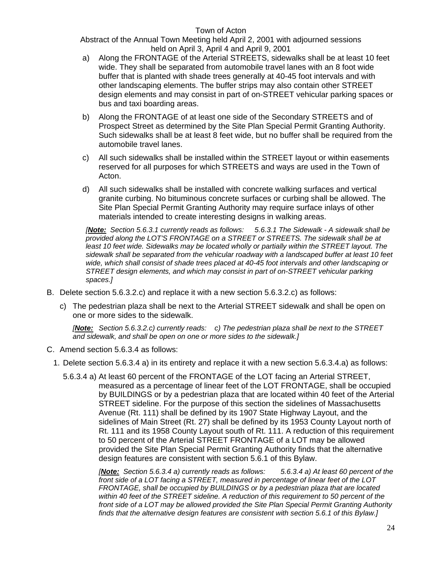Abstract of the Annual Town Meeting held April 2, 2001 with adjourned sessions held on April 3, April 4 and April 9, 2001

- a) Along the FRONTAGE of the Arterial STREETS, sidewalks shall be at least 10 feet wide. They shall be separated from automobile travel lanes with an 8 foot wide buffer that is planted with shade trees generally at 40-45 foot intervals and with other landscaping elements. The buffer strips may also contain other STREET design elements and may consist in part of on-STREET vehicular parking spaces or bus and taxi boarding areas.
- b) Along the FRONTAGE of at least one side of the Secondary STREETS and of Prospect Street as determined by the Site Plan Special Permit Granting Authority. Such sidewalks shall be at least 8 feet wide, but no buffer shall be required from the automobile travel lanes.
- c) All such sidewalks shall be installed within the STREET layout or within easements reserved for all purposes for which STREETS and ways are used in the Town of Acton.
- d) All such sidewalks shall be installed with concrete walking surfaces and vertical granite curbing. No bituminous concrete surfaces or curbing shall be allowed. The Site Plan Special Permit Granting Authority may require surface inlays of other materials intended to create interesting designs in walking areas.

*[Note: Section 5.6.3.1 currently reads as follows: 5.6.3.1 The Sidewalk - A sidewalk shall be provided along the LOT'S FRONTAGE on a STREET or STREETS. The sidewalk shall be at*  least 10 feet wide. Sidewalks may be located wholly or partially within the STREET layout. The *sidewalk shall be separated from the vehicular roadway with a landscaped buffer at least 10 feet wide, which shall consist of shade trees placed at 40-45 foot intervals and other landscaping or STREET design elements, and which may consist in part of on-STREET vehicular parking spaces.]* 

- B. Delete section 5.6.3.2.c) and replace it with a new section 5.6.3.2.c) as follows:
	- c) The pedestrian plaza shall be next to the Arterial STREET sidewalk and shall be open on one or more sides to the sidewalk.

*[Note: Section 5.6.3.2.c) currently reads: c) The pedestrian plaza shall be next to the STREET and sidewalk, and shall be open on one or more sides to the sidewalk.]* 

- C. Amend section 5.6.3.4 as follows:
	- 1. Delete section 5.6.3.4 a) in its entirety and replace it with a new section 5.6.3.4.a) as follows:
		- 5.6.3.4 a) At least 60 percent of the FRONTAGE of the LOT facing an Arterial STREET, measured as a percentage of linear feet of the LOT FRONTAGE, shall be occupied by BUILDINGS or by a pedestrian plaza that are located within 40 feet of the Arterial STREET sideline. For the purpose of this section the sidelines of Massachusetts Avenue (Rt. 111) shall be defined by its 1907 State Highway Layout, and the sidelines of Main Street (Rt. 27) shall be defined by its 1953 County Layout north of Rt. 111 and its 1958 County Layout south of Rt. 111. A reduction of this requirement to 50 percent of the Arterial STREET FRONTAGE of a LOT may be allowed provided the Site Plan Special Permit Granting Authority finds that the alternative design features are consistent with section 5.6.1 of this Bylaw.

*[Note: Section 5.6.3.4 a) currently reads as follows: 5.6.3.4 a) At least 60 percent of the front side of a LOT facing a STREET, measured in percentage of linear feet of the LOT FRONTAGE, shall be occupied by BUILDINGS or by a pedestrian plaza that are located within 40 feet of the STREET sideline. A reduction of this requirement to 50 percent of the front side of a LOT may be allowed provided the Site Plan Special Permit Granting Authority finds that the alternative design features are consistent with section 5.6.1 of this Bylaw.]*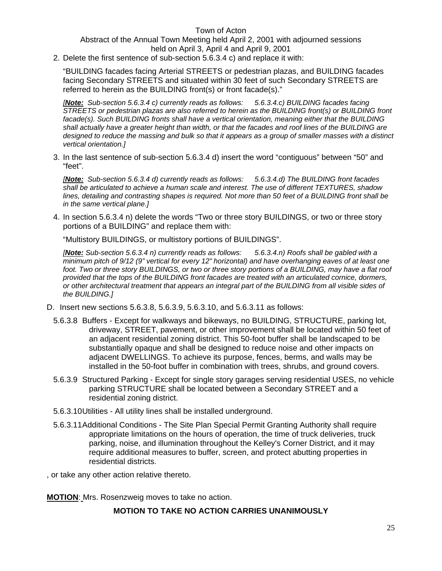Abstract of the Annual Town Meeting held April 2, 2001 with adjourned sessions held on April 3, April 4 and April 9, 2001

2. Delete the first sentence of sub-section 5.6.3.4 c) and replace it with:

"BUILDING facades facing Arterial STREETS or pedestrian plazas, and BUILDING facades facing Secondary STREETS and situated within 30 feet of such Secondary STREETS are referred to herein as the BUILDING front(s) or front facade(s)."

*[Note: Sub-section 5.6.3.4 c) currently reads as follows: 5.6.3.4.c) BUILDING facades facing STREETS or pedestrian plazas are also referred to herein as the BUILDING front(s) or BUILDING front facade(s). Such BUILDING fronts shall have a vertical orientation, meaning either that the BUILDING shall actually have a greater height than width, or that the facades and roof lines of the BUILDING are*  designed to reduce the massing and bulk so that it appears as a group of smaller masses with a distinct *vertical orientation.]* 

3. In the last sentence of sub-section 5.6.3.4 d) insert the word "contiguous" between "50" and "feet".

*[Note: Sub-section 5.6.3.4 d) currently reads as follows: 5.6.3.4.d) The BUILDING front facades shall be articulated to achieve a human scale and interest. The use of different TEXTURES, shadow lines, detailing and contrasting shapes is required. Not more than 50 feet of a BUILDING front shall be in the same vertical plane.]* 

4. In section 5.6.3.4 n) delete the words "Two or three story BUILDINGS, or two or three story portions of a BUILDING" and replace them with:

"Multistory BUILDINGS, or multistory portions of BUILDINGS".

*[Note: Sub-section 5.6.3.4 n) currently reads as follows: 5.6.3.4.n) Roofs shall be gabled with a minimum pitch of 9/12 (9" vertical for every 12" horizontal) and have overhanging eaves of at least one foot. Two or three story BUILDINGS, or two or three story portions of a BUILDING, may have a flat roof provided that the tops of the BUILDING front facades are treated with an articulated cornice, dormers, or other architectural treatment that appears an integral part of the BUILDING from all visible sides of the BUILDING.]* 

- D. Insert new sections 5.6.3.8, 5.6.3.9, 5.6.3.10, and 5.6.3.11 as follows:
	- 5.6.3.8 Buffers Except for walkways and bikeways, no BUILDING, STRUCTURE, parking lot, driveway, STREET, pavement, or other improvement shall be located within 50 feet of an adjacent residential zoning district. This 50-foot buffer shall be landscaped to be substantially opaque and shall be designed to reduce noise and other impacts on adjacent DWELLINGS. To achieve its purpose, fences, berms, and walls may be installed in the 50-foot buffer in combination with trees, shrubs, and ground covers.
	- 5.6.3.9 Structured Parking Except for single story garages serving residential USES, no vehicle parking STRUCTURE shall be located between a Secondary STREET and a residential zoning district.
	- 5.6.3.10 Utilities All utility lines shall be installed underground.
	- 5.6.3.11 Additional Conditions The Site Plan Special Permit Granting Authority shall require appropriate limitations on the hours of operation, the time of truck deliveries, truck parking, noise, and illumination throughout the Kelley's Corner District, and it may require additional measures to buffer, screen, and protect abutting properties in residential districts.
- , or take any other action relative thereto.

**MOTION**: Mrs. Rosenzweig moves to take no action.

#### **MOTION TO TAKE NO ACTION CARRIES UNANIMOUSLY**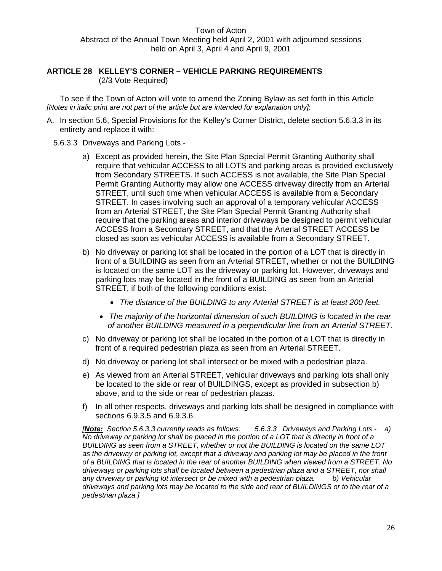# **ARTICLE 28 KELLEY'S CORNER – VEHICLE PARKING REQUIREMENTS**

(2/3 Vote Required)

To see if the Town of Acton will vote to amend the Zoning Bylaw as set forth in this Article *[Notes in italic print are not part of the article but are intended for explanation only]*:

A. In section 5.6, Special Provisions for the Kelley's Corner District, delete section 5.6.3.3 in its entirety and replace it with:

#### 5.6.3.3 Driveways and Parking Lots -

- a) Except as provided herein, the Site Plan Special Permit Granting Authority shall require that vehicular ACCESS to all LOTS and parking areas is provided exclusively from Secondary STREETS. If such ACCESS is not available, the Site Plan Special Permit Granting Authority may allow one ACCESS driveway directly from an Arterial STREET, until such time when vehicular ACCESS is available from a Secondary STREET. In cases involving such an approval of a temporary vehicular ACCESS from an Arterial STREET, the Site Plan Special Permit Granting Authority shall require that the parking areas and interior driveways be designed to permit vehicular ACCESS from a Secondary STREET, and that the Arterial STREET ACCESS be closed as soon as vehicular ACCESS is available from a Secondary STREET.
- b) No driveway or parking lot shall be located in the portion of a LOT that is directly in front of a BUILDING as seen from an Arterial STREET, whether or not the BUILDING is located on the same LOT as the driveway or parking lot. However, driveways and parking lots may be located in the front of a BUILDING as seen from an Arterial STREET, if both of the following conditions exist:
	- *The distance of the BUILDING to any Arterial STREET is at least 200 feet.*
	- *The majority of the horizontal dimension of such BUILDING is located in the rear of another BUILDING measured in a perpendicular line from an Arterial STREET.*
- c) No driveway or parking lot shall be located in the portion of a LOT that is directly in front of a required pedestrian plaza as seen from an Arterial STREET.
- d) No driveway or parking lot shall intersect or be mixed with a pedestrian plaza.
- e) As viewed from an Arterial STREET, vehicular driveways and parking lots shall only be located to the side or rear of BUILDINGS, except as provided in subsection b) above, and to the side or rear of pedestrian plazas.
- f) In all other respects, driveways and parking lots shall be designed in compliance with sections 6.9.3.5 and 6.9.3.6.

*[Note: Section 5.6.3.3 currently reads as follows: 5.6.3.3 Driveways and Parking Lots - a) No driveway or parking lot shall be placed in the portion of a LOT that is directly in front of a BUILDING as seen from a STREET, whether or not the BUILDING is located on the same LOT as the driveway or parking lot, except that a driveway and parking lot may be placed in the front of a BUILDING that is located in the rear of another BUILDING when viewed from a STREET. No driveways or parking lots shall be located between a pedestrian plaza and a STREET, nor shall any driveway or parking lot intersect or be mixed with a pedestrian plaza. b) Vehicular driveways and parking lots may be located to the side and rear of BUILDINGS or to the rear of a pedestrian plaza.]*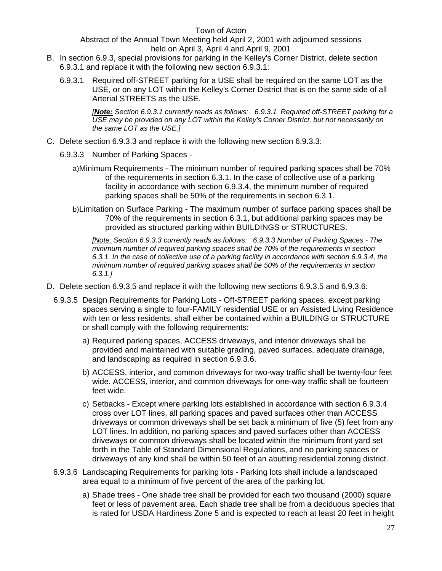Abstract of the Annual Town Meeting held April 2, 2001 with adjourned sessions held on April 3, April 4 and April 9, 2001

- B. In section 6.9.3, special provisions for parking in the Kelley's Corner District, delete section 6.9.3.1 and replace it with the following new section 6.9.3.1:
	- 6.9.3.1 Required off-STREET parking for a USE shall be required on the same LOT as the USE, or on any LOT within the Kelley's Corner District that is on the same side of all Arterial STREETS as the USE.

*[Note: Section 6.9.3.1 currently reads as follows: 6.9.3.1 Required off-STREET parking for a USE may be provided on any LOT within the Kelley's Corner District, but not necessarily on the same LOT as the USE.]*

- C. Delete section 6.9.3.3 and replace it with the following new section 6.9.3.3:
	- 6.9.3.3 Number of Parking Spaces
		- a) Minimum Requirements The minimum number of required parking spaces shall be 70% of the requirements in section 6.3.1. In the case of collective use of a parking facility in accordance with section 6.9.3.4, the minimum number of required parking spaces shall be 50% of the requirements in section 6.3.1.
		- b) Limitation on Surface Parking The maximum number of surface parking spaces shall be 70% of the requirements in section 6.3.1, but additional parking spaces may be provided as structured parking within BUILDINGS or STRUCTURES.

*[Note: Section 6.9.3.3 currently reads as follows: 6.9.3.3 Number of Parking Spaces - The minimum number of required parking spaces shall be 70% of the requirements in section 6.3.1. In the case of collective use of a parking facility in accordance with section 6.9.3.4, the minimum number of required parking spaces shall be 50% of the requirements in section 6.3.1.]* 

- D. Delete section 6.9.3.5 and replace it with the following new sections 6.9.3.5 and 6.9.3.6:
	- 6.9.3.5 Design Requirements for Parking Lots Off-STREET parking spaces, except parking spaces serving a single to four-FAMILY residential USE or an Assisted Living Residence with ten or less residents, shall either be contained within a BUILDING or STRUCTURE or shall comply with the following requirements:
		- a) Required parking spaces, ACCESS driveways, and interior driveways shall be provided and maintained with suitable grading, paved surfaces, adequate drainage, and landscaping as required in section 6.9.3.6.
		- b) ACCESS, interior, and common driveways for two-way traffic shall be twenty-four feet wide. ACCESS, interior, and common driveways for one-way traffic shall be fourteen feet wide.
		- c) Setbacks Except where parking lots established in accordance with section 6.9.3.4 cross over LOT lines, all parking spaces and paved surfaces other than ACCESS driveways or common driveways shall be set back a minimum of five (5) feet from any LOT lines. In addition, no parking spaces and paved surfaces other than ACCESS driveways or common driveways shall be located within the minimum front yard set forth in the Table of Standard Dimensional Regulations, and no parking spaces or driveways of any kind shall be within 50 feet of an abutting residential zoning district.
	- 6.9.3.6 Landscaping Requirements for parking lots Parking lots shall include a landscaped area equal to a minimum of five percent of the area of the parking lot.
		- a) Shade trees One shade tree shall be provided for each two thousand (2000) square feet or less of pavement area. Each shade tree shall be from a deciduous species that is rated for USDA Hardiness Zone 5 and is expected to reach at least 20 feet in height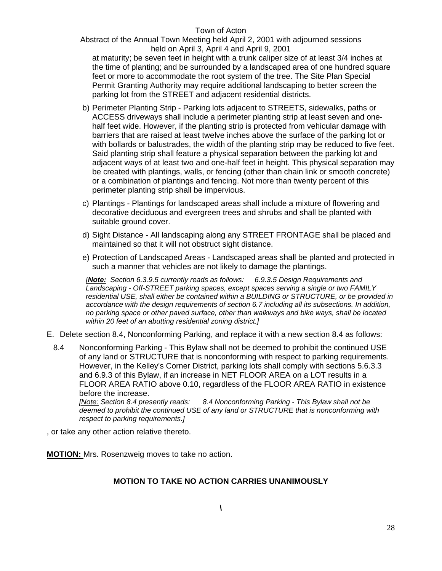Abstract of the Annual Town Meeting held April 2, 2001 with adjourned sessions held on April 3, April 4 and April 9, 2001

at maturity; be seven feet in height with a trunk caliper size of at least 3/4 inches at the time of planting; and be surrounded by a landscaped area of one hundred square feet or more to accommodate the root system of the tree. The Site Plan Special Permit Granting Authority may require additional landscaping to better screen the parking lot from the STREET and adjacent residential districts.

- b) Perimeter Planting Strip Parking lots adjacent to STREETS, sidewalks, paths or ACCESS driveways shall include a perimeter planting strip at least seven and onehalf feet wide. However, if the planting strip is protected from vehicular damage with barriers that are raised at least twelve inches above the surface of the parking lot or with bollards or balustrades, the width of the planting strip may be reduced to five feet. Said planting strip shall feature a physical separation between the parking lot and adjacent ways of at least two and one-half feet in height. This physical separation may be created with plantings, walls, or fencing (other than chain link or smooth concrete) or a combination of plantings and fencing. Not more than twenty percent of this perimeter planting strip shall be impervious.
- c) Plantings Plantings for landscaped areas shall include a mixture of flowering and decorative deciduous and evergreen trees and shrubs and shall be planted with suitable ground cover.
- d) Sight Distance All landscaping along any STREET FRONTAGE shall be placed and maintained so that it will not obstruct sight distance.
- e) Protection of Landscaped Areas Landscaped areas shall be planted and protected in such a manner that vehicles are not likely to damage the plantings.

*[Note: Section 6.3.9.5 currently reads as follows: 6.9.3.5 Design Requirements and Landscaping - Off-STREET parking spaces, except spaces serving a single or two FAMILY residential USE, shall either be contained within a BUILDING or STRUCTURE, or be provided in accordance with the design requirements of section 6.7 including all its subsections. In addition, no parking space or other paved surface, other than walkways and bike ways, shall be located within 20 feet of an abutting residential zoning district.]* 

- E. Delete section 8.4, Nonconforming Parking, and replace it with a new section 8.4 as follows:
	- 8.4 Nonconforming Parking This Bylaw shall not be deemed to prohibit the continued USE of any land or STRUCTURE that is nonconforming with respect to parking requirements. However, in the Kelley's Corner District, parking lots shall comply with sections 5.6.3.3 and 6.9.3 of this Bylaw, if an increase in NET FLOOR AREA on a LOT results in a FLOOR AREA RATIO above 0.10, regardless of the FLOOR AREA RATIO in existence before the increase.<br>[Note: Section 8.4 presently reads:

*[Note: Section 8.4 presently reads: 8.4 Nonconforming Parking - This Bylaw shall not be deemed to prohibit the continued USE of any land or STRUCTURE that is nonconforming with respect to parking requirements.]*

, or take any other action relative thereto.

**MOTION:** Mrs. Rosenzweig moves to take no action.

# **MOTION TO TAKE NO ACTION CARRIES UNANIMOUSLY**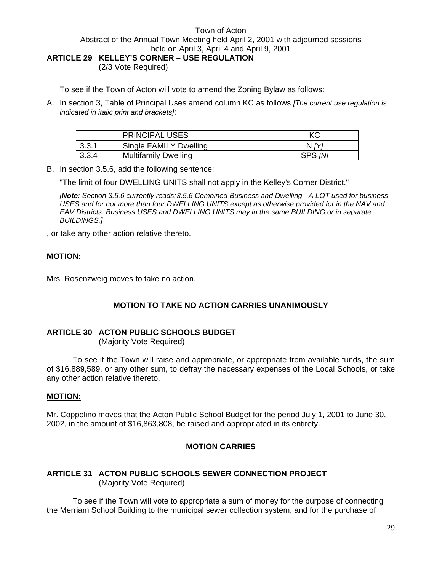**ARTICLE 29 KELLEY'S CORNER – USE REGULATION** 

(2/3 Vote Required)

To see if the Town of Acton will vote to amend the Zoning Bylaw as follows:

A. In section 3, Table of Principal Uses amend column KC as follows *[The current use regulation is indicated in italic print and brackets]*:

|        | <b>PRINCIPAL USES</b>       | КC             |
|--------|-----------------------------|----------------|
| 13.3.1 | Single FAMILY Dwelling      | N IY           |
| 3.3.4  | <b>Multifamily Dwelling</b> | SPS <i>[N]</i> |

B. In section 3.5.6, add the following sentence:

"The limit of four DWELLING UNITS shall not apply in the Kelley's Corner District."

*[Note: Section 3.5.6 currently reads: 3.5.6 Combined Business and Dwelling - A LOT used for business USES and for not more than four DWELLING UNITS except as otherwise provided for in the NAV and EAV Districts. Business USES and DWELLING UNITS may in the same BUILDING or in separate BUILDINGS.]* 

, or take any other action relative thereto.

#### **MOTION:**

Mrs. Rosenzweig moves to take no action.

#### **MOTION TO TAKE NO ACTION CARRIES UNANIMOUSLY**

#### **ARTICLE 30 ACTON PUBLIC SCHOOLS BUDGET**

(Majority Vote Required)

 To see if the Town will raise and appropriate, or appropriate from available funds, the sum of \$16,889,589, or any other sum, to defray the necessary expenses of the Local Schools, or take any other action relative thereto.

#### **MOTION:**

Mr. Coppolino moves that the Acton Public School Budget for the period July 1, 2001 to June 30, 2002, in the amount of \$16,863,808, be raised and appropriated in its entirety.

#### **MOTION CARRIES**

#### **ARTICLE 31 ACTON PUBLIC SCHOOLS SEWER CONNECTION PROJECT**  (Majority Vote Required)

To see if the Town will vote to appropriate a sum of money for the purpose of connecting the Merriam School Building to the municipal sewer collection system, and for the purchase of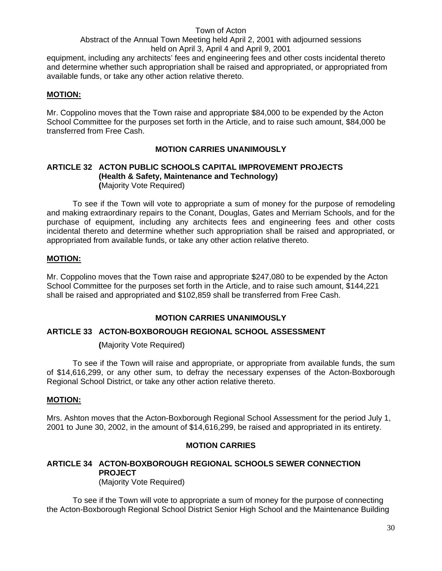equipment, including any architects' fees and engineering fees and other costs incidental thereto and determine whether such appropriation shall be raised and appropriated, or appropriated from available funds, or take any other action relative thereto.

#### **MOTION:**

Mr. Coppolino moves that the Town raise and appropriate \$84,000 to be expended by the Acton School Committee for the purposes set forth in the Article, and to raise such amount, \$84,000 be transferred from Free Cash.

# **MOTION CARRIES UNANIMOUSLY**

#### **ARTICLE 32 ACTON PUBLIC SCHOOLS CAPITAL IMPROVEMENT PROJECTS (Health & Safety, Maintenance and Technology) (**Majority Vote Required)

 To see if the Town will vote to appropriate a sum of money for the purpose of remodeling and making extraordinary repairs to the Conant, Douglas, Gates and Merriam Schools, and for the purchase of equipment, including any architects fees and engineering fees and other costs incidental thereto and determine whether such appropriation shall be raised and appropriated, or appropriated from available funds, or take any other action relative thereto.

# **MOTION:**

Mr. Coppolino moves that the Town raise and appropriate \$247,080 to be expended by the Acton School Committee for the purposes set forth in the Article, and to raise such amount, \$144,221 shall be raised and appropriated and \$102,859 shall be transferred from Free Cash.

#### **MOTION CARRIES UNANIMOUSLY**

#### **ARTICLE 33 ACTON-BOXBOROUGH REGIONAL SCHOOL ASSESSMENT**

 **(**Majority Vote Required)

 To see if the Town will raise and appropriate, or appropriate from available funds, the sum of \$14,616,299, or any other sum, to defray the necessary expenses of the Acton-Boxborough Regional School District, or take any other action relative thereto.

#### **MOTION:**

Mrs. Ashton moves that the Acton-Boxborough Regional School Assessment for the period July 1, 2001 to June 30, 2002, in the amount of \$14,616,299, be raised and appropriated in its entirety.

#### **MOTION CARRIES**

#### **ARTICLE 34 ACTON-BOXBOROUGH REGIONAL SCHOOLS SEWER CONNECTION PROJECT**  (Majority Vote Required)

To see if the Town will vote to appropriate a sum of money for the purpose of connecting the Acton-Boxborough Regional School District Senior High School and the Maintenance Building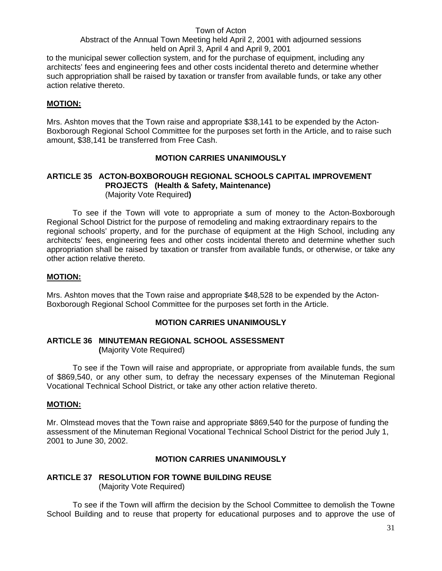to the municipal sewer collection system, and for the purchase of equipment, including any architects' fees and engineering fees and other costs incidental thereto and determine whether such appropriation shall be raised by taxation or transfer from available funds, or take any other action relative thereto.

#### **MOTION:**

Mrs. Ashton moves that the Town raise and appropriate \$38,141 to be expended by the Acton-Boxborough Regional School Committee for the purposes set forth in the Article, and to raise such amount, \$38,141 be transferred from Free Cash.

#### **MOTION CARRIES UNANIMOUSLY**

#### **ARTICLE 35 ACTON-BOXBOROUGH REGIONAL SCHOOLS CAPITAL IMPROVEMENT PROJECTS (Health & Safety, Maintenance)** (Majority Vote Required**)**

To see if the Town will vote to appropriate a sum of money to the Acton-Boxborough Regional School District for the purpose of remodeling and making extraordinary repairs to the regional schools' property, and for the purchase of equipment at the High School, including any architects' fees, engineering fees and other costs incidental thereto and determine whether such appropriation shall be raised by taxation or transfer from available funds, or otherwise, or take any other action relative thereto.

#### **MOTION:**

Mrs. Ashton moves that the Town raise and appropriate \$48,528 to be expended by the Acton-Boxborough Regional School Committee for the purposes set forth in the Article.

#### **MOTION CARRIES UNANIMOUSLY**

#### **ARTICLE 36 MINUTEMAN REGIONAL SCHOOL ASSESSMENT (**Majority Vote Required)

 To see if the Town will raise and appropriate, or appropriate from available funds, the sum of \$869,540, or any other sum, to defray the necessary expenses of the Minuteman Regional Vocational Technical School District, or take any other action relative thereto.

#### **MOTION:**

Mr. Olmstead moves that the Town raise and appropriate \$869,540 for the purpose of funding the assessment of the Minuteman Regional Vocational Technical School District for the period July 1, 2001 to June 30, 2002.

#### **MOTION CARRIES UNANIMOUSLY**

# **ARTICLE 37 RESOLUTION FOR TOWNE BUILDING REUSE**

(Majority Vote Required)

 To see if the Town will affirm the decision by the School Committee to demolish the Towne School Building and to reuse that property for educational purposes and to approve the use of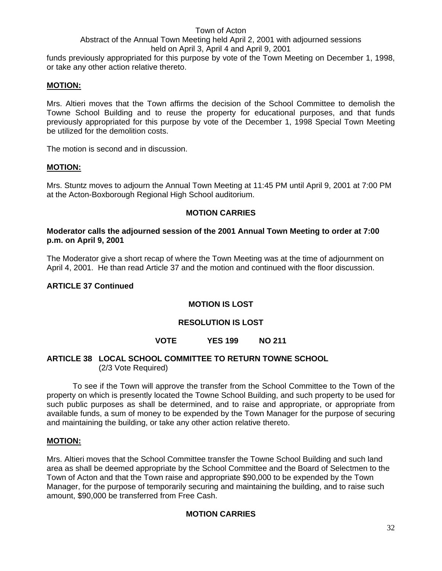funds previously appropriated for this purpose by vote of the Town Meeting on December 1, 1998, or take any other action relative thereto.

#### **MOTION:**

Mrs. Altieri moves that the Town affirms the decision of the School Committee to demolish the Towne School Building and to reuse the property for educational purposes, and that funds previously appropriated for this purpose by vote of the December 1, 1998 Special Town Meeting be utilized for the demolition costs.

The motion is second and in discussion.

#### **MOTION:**

Mrs. Stuntz moves to adjourn the Annual Town Meeting at 11:45 PM until April 9, 2001 at 7:00 PM at the Acton-Boxborough Regional High School auditorium.

#### **MOTION CARRIES**

#### **Moderator calls the adjourned session of the 2001 Annual Town Meeting to order at 7:00 p.m. on April 9, 2001**

The Moderator give a short recap of where the Town Meeting was at the time of adjournment on April 4, 2001. He than read Article 37 and the motion and continued with the floor discussion.

#### **ARTICLE 37 Continued**

#### **MOTION IS LOST**

#### **RESOLUTION IS LOST**

#### **VOTE YES 199 NO 211**

#### **ARTICLE 38 LOCAL SCHOOL COMMITTEE TO RETURN TOWNE SCHOOL** (2/3 Vote Required)

 To see if the Town will approve the transfer from the School Committee to the Town of the property on which is presently located the Towne School Building, and such property to be used for such public purposes as shall be determined, and to raise and appropriate, or appropriate from available funds, a sum of money to be expended by the Town Manager for the purpose of securing and maintaining the building, or take any other action relative thereto.

#### **MOTION:**

Mrs. Altieri moves that the School Committee transfer the Towne School Building and such land area as shall be deemed appropriate by the School Committee and the Board of Selectmen to the Town of Acton and that the Town raise and appropriate \$90,000 to be expended by the Town Manager, for the purpose of temporarily securing and maintaining the building, and to raise such amount, \$90,000 be transferred from Free Cash.

#### **MOTION CARRIES**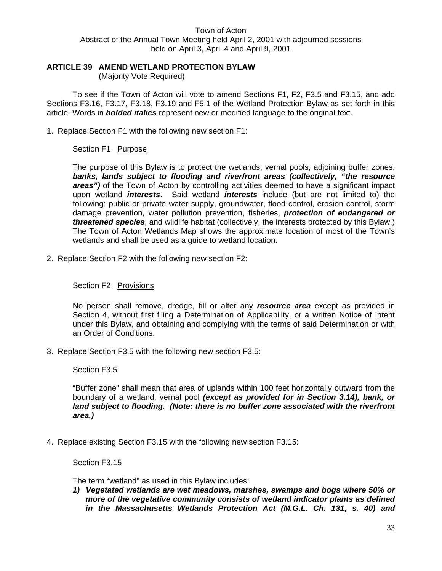#### **ARTICLE 39 AMEND WETLAND PROTECTION BYLAW**

(Majority Vote Required)

To see if the Town of Acton will vote to amend Sections F1, F2, F3.5 and F3.15, and add Sections F3.16, F3.17, F3.18, F3.19 and F5.1 of the Wetland Protection Bylaw as set forth in this article. Words in *bolded italics* represent new or modified language to the original text.

1. Replace Section F1 with the following new section F1:

#### Section F1 Purpose

The purpose of this Bylaw is to protect the wetlands, vernal pools, adjoining buffer zones, *banks, lands subject to flooding and riverfront areas (collectively, "the resource areas")* of the Town of Acton by controlling activities deemed to have a significant impact upon wetland *interests*. Said wetland *interests* include (but are not limited to) the following: public or private water supply, groundwater, flood control, erosion control, storm damage prevention, water pollution prevention, fisheries, *protection of endangered or threatened species*, and wildlife habitat (collectively, the interests protected by this Bylaw.) The Town of Acton Wetlands Map shows the approximate location of most of the Town's wetlands and shall be used as a guide to wetland location.

2. Replace Section F2 with the following new section F2:

#### Section F2 Provisions

No person shall remove, dredge, fill or alter any *resource area* except as provided in Section 4, without first filing a Determination of Applicability, or a written Notice of Intent under this Bylaw, and obtaining and complying with the terms of said Determination or with an Order of Conditions.

3. Replace Section F3.5 with the following new section F3.5:

#### Section F3.5

"Buffer zone" shall mean that area of uplands within 100 feet horizontally outward from the boundary of a wetland, vernal pool *(except as provided for in Section 3.14), bank, or land subject to flooding. (Note: there is no buffer zone associated with the riverfront area.)* 

4. Replace existing Section F3.15 with the following new section F3.15:

Section F3.15

The term "wetland" as used in this Bylaw includes:

*1) Vegetated wetlands are wet meadows, marshes, swamps and bogs where 50% or more of the vegetative community consists of wetland indicator plants as defined in the Massachusetts Wetlands Protection Act (M.G.L. Ch. 131, s. 40) and*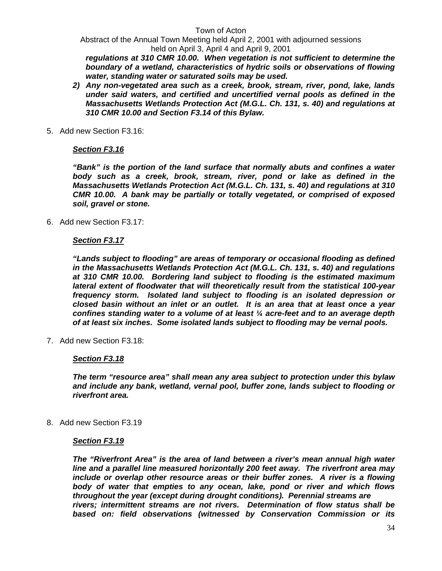Abstract of the Annual Town Meeting held April 2, 2001 with adjourned sessions held on April 3, April 4 and April 9, 2001

*regulations at 310 CMR 10.00. When vegetation is not sufficient to determine the boundary of a wetland, characteristics of hydric soils or observations of flowing water, standing water or saturated soils may be used.* 

- *2) Any non-vegetated area such as a creek, brook, stream, river, pond, lake, lands under said waters, and certified and uncertified vernal pools as defined in the Massachusetts Wetlands Protection Act (M.G.L. Ch. 131, s. 40) and regulations at 310 CMR 10.00 and Section F3.14 of this Bylaw.*
- 5. Add new Section F3.16:

#### *Section F3.16*

*"Bank" is the portion of the land surface that normally abuts and confines a water body such as a creek, brook, stream, river, pond or lake as defined in the Massachusetts Wetlands Protection Act (M.G.L. Ch. 131, s. 40) and regulations at 310 CMR 10.00. A bank may be partially or totally vegetated, or comprised of exposed soil, gravel or stone.* 

6. Add new Section F3.17:

#### *Section F3.17*

*"Lands subject to flooding" are areas of temporary or occasional flooding as defined in the Massachusetts Wetlands Protection Act (M.G.L. Ch. 131, s. 40) and regulations at 310 CMR 10.00. Bordering land subject to flooding is the estimated maximum lateral extent of floodwater that will theoretically result from the statistical 100-year frequency storm. Isolated land subject to flooding is an isolated depression or closed basin without an inlet or an outlet. It is an area that at least once a year confines standing water to a volume of at least ¼ acre-feet and to an average depth of at least six inches. Some isolated lands subject to flooding may be vernal pools.* 

7. Add new Section F3.18:

#### *Section F3.18*

*The term "resource area" shall mean any area subject to protection under this bylaw and include any bank, wetland, vernal pool, buffer zone, lands subject to flooding or riverfront area.* 

8. Add new Section F3.19

#### *Section F3.19*

*The "Riverfront Area" is the area of land between a river's mean annual high water line and a parallel line measured horizontally 200 feet away. The riverfront area may include or overlap other resource areas or their buffer zones. A river is a flowing body of water that empties to any ocean, lake, pond or river and which flows throughout the year (except during drought conditions). Perennial streams are rivers; intermittent streams are not rivers. Determination of flow status shall be based on: field observations (witnessed by Conservation Commission or its*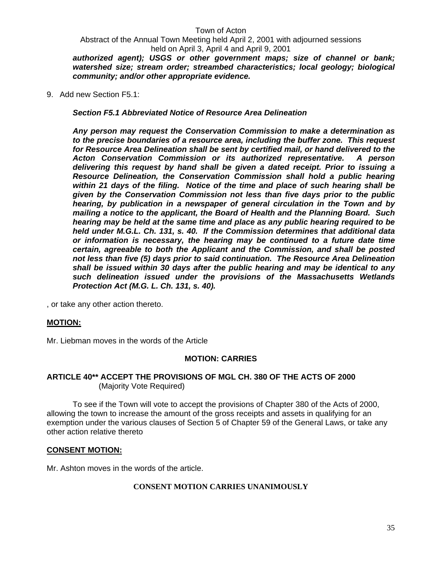Abstract of the Annual Town Meeting held April 2, 2001 with adjourned sessions held on April 3, April 4 and April 9, 2001

*authorized agent); USGS or other government maps; size of channel or bank; watershed size; stream order; streambed characteristics; local geology; biological community; and/or other appropriate evidence.* 

9. Add new Section F5.1:

*Section F5.1 Abbreviated Notice of Resource Area Delineation* 

*Any person may request the Conservation Commission to make a determination as to the precise boundaries of a resource area, including the buffer zone. This request for Resource Area Delineation shall be sent by certified mail, or hand delivered to the Acton Conservation Commission or its authorized representative. A person delivering this request by hand shall be given a dated receipt. Prior to issuing a Resource Delineation, the Conservation Commission shall hold a public hearing within 21 days of the filing. Notice of the time and place of such hearing shall be given by the Conservation Commission not less than five days prior to the public hearing, by publication in a newspaper of general circulation in the Town and by mailing a notice to the applicant, the Board of Health and the Planning Board. Such hearing may be held at the same time and place as any public hearing required to be held under M.G.L. Ch. 131, s. 40. If the Commission determines that additional data or information is necessary, the hearing may be continued to a future date time certain, agreeable to both the Applicant and the Commission, and shall be posted not less than five (5) days prior to said continuation. The Resource Area Delineation shall be issued within 30 days after the public hearing and may be identical to any such delineation issued under the provisions of the Massachusetts Wetlands Protection Act (M.G. L. Ch. 131, s. 40).* 

, or take any other action thereto.

#### **MOTION:**

Mr. Liebman moves in the words of the Article

#### **MOTION: CARRIES**

#### **ARTICLE 40\*\* ACCEPT THE PROVISIONS OF MGL CH. 380 OF THE ACTS OF 2000**  (Majority Vote Required)

 To see if the Town will vote to accept the provisions of Chapter 380 of the Acts of 2000, allowing the town to increase the amount of the gross receipts and assets in qualifying for an exemption under the various clauses of Section 5 of Chapter 59 of the General Laws, or take any other action relative thereto

#### **CONSENT MOTION:**

Mr. Ashton moves in the words of the article.

#### **CONSENT MOTION CARRIES UNANIMOUSLY**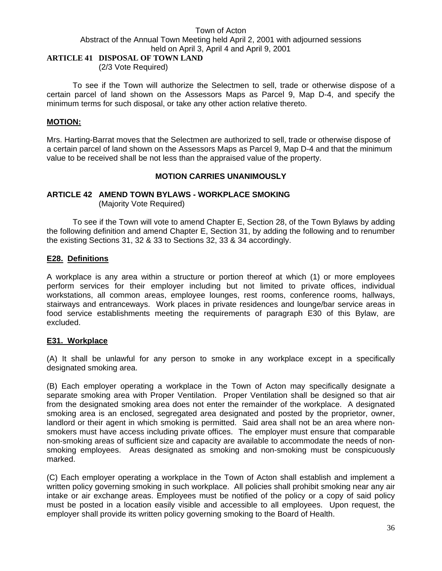# **ARTICLE 41 DISPOSAL OF TOWN LAND**

(2/3 Vote Required)

 To see if the Town will authorize the Selectmen to sell, trade or otherwise dispose of a certain parcel of land shown on the Assessors Maps as Parcel 9, Map D-4, and specify the minimum terms for such disposal, or take any other action relative thereto.

#### **MOTION:**

Mrs. Harting-Barrat moves that the Selectmen are authorized to sell, trade or otherwise dispose of a certain parcel of land shown on the Assessors Maps as Parcel 9, Map D-4 and that the minimum value to be received shall be not less than the appraised value of the property.

#### **MOTION CARRIES UNANIMOUSLY**

# **ARTICLE 42 AMEND TOWN BYLAWS - WORKPLACE SMOKING**

(Majority Vote Required)

 To see if the Town will vote to amend Chapter E, Section 28, of the Town Bylaws by adding the following definition and amend Chapter E, Section 31, by adding the following and to renumber the existing Sections 31, 32 & 33 to Sections 32, 33 & 34 accordingly.

#### **E28. Definitions**

A workplace is any area within a structure or portion thereof at which (1) or more employees perform services for their employer including but not limited to private offices, individual workstations, all common areas, employee lounges, rest rooms, conference rooms, hallways, stairways and entranceways. Work places in private residences and lounge/bar service areas in food service establishments meeting the requirements of paragraph E30 of this Bylaw, are excluded.

#### **E31. Workplace**

(A) It shall be unlawful for any person to smoke in any workplace except in a specifically designated smoking area.

(B) Each employer operating a workplace in the Town of Acton may specifically designate a separate smoking area with Proper Ventilation. Proper Ventilation shall be designed so that air from the designated smoking area does not enter the remainder of the workplace. A designated smoking area is an enclosed, segregated area designated and posted by the proprietor, owner, landlord or their agent in which smoking is permitted. Said area shall not be an area where nonsmokers must have access including private offices. The employer must ensure that comparable non-smoking areas of sufficient size and capacity are available to accommodate the needs of nonsmoking employees. Areas designated as smoking and non-smoking must be conspicuously marked.

(C) Each employer operating a workplace in the Town of Acton shall establish and implement a written policy governing smoking in such workplace. All policies shall prohibit smoking near any air intake or air exchange areas. Employees must be notified of the policy or a copy of said policy must be posted in a location easily visible and accessible to all employees. Upon request, the employer shall provide its written policy governing smoking to the Board of Health.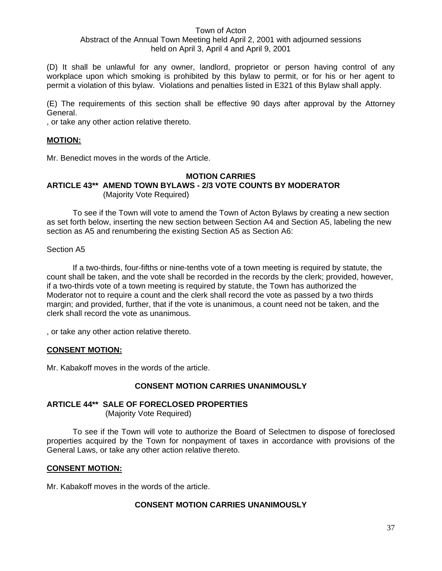(D) It shall be unlawful for any owner, landlord, proprietor or person having control of any workplace upon which smoking is prohibited by this bylaw to permit, or for his or her agent to permit a violation of this bylaw. Violations and penalties listed in E321 of this Bylaw shall apply.

(E) The requirements of this section shall be effective 90 days after approval by the Attorney General.

, or take any other action relative thereto.

#### **MOTION:**

Mr. Benedict moves in the words of the Article.

#### **MOTION CARRIES ARTICLE 43\*\* AMEND TOWN BYLAWS - 2/3 VOTE COUNTS BY MODERATOR** (Majority Vote Required)

To see if the Town will vote to amend the Town of Acton Bylaws by creating a new section as set forth below, inserting the new section between Section A4 and Section A5, labeling the new section as A5 and renumbering the existing Section A5 as Section A6:

#### Section A5

If a two-thirds, four-fifths or nine-tenths vote of a town meeting is required by statute, the count shall be taken, and the vote shall be recorded in the records by the clerk; provided, however, if a two-thirds vote of a town meeting is required by statute, the Town has authorized the Moderator not to require a count and the clerk shall record the vote as passed by a two thirds margin; and provided, further, that if the vote is unanimous, a count need not be taken, and the clerk shall record the vote as unanimous.

, or take any other action relative thereto.

#### **CONSENT MOTION:**

Mr. Kabakoff moves in the words of the article.

#### **CONSENT MOTION CARRIES UNANIMOUSLY**

#### **ARTICLE 44\*\* SALE OF FORECLOSED PROPERTIES**

(Majority Vote Required)

To see if the Town will vote to authorize the Board of Selectmen to dispose of foreclosed properties acquired by the Town for nonpayment of taxes in accordance with provisions of the General Laws, or take any other action relative thereto.

#### **CONSENT MOTION:**

Mr. Kabakoff moves in the words of the article.

#### **CONSENT MOTION CARRIES UNANIMOUSLY**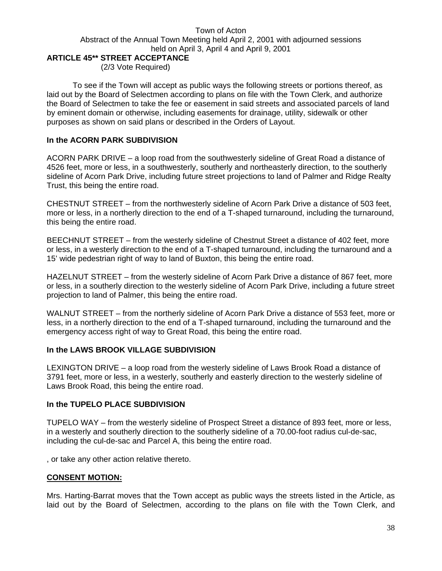# **ARTICLE 45\*\* STREET ACCEPTANCE**

(2/3 Vote Required)

 To see if the Town will accept as public ways the following streets or portions thereof, as laid out by the Board of Selectmen according to plans on file with the Town Clerk, and authorize the Board of Selectmen to take the fee or easement in said streets and associated parcels of land by eminent domain or otherwise, including easements for drainage, utility, sidewalk or other purposes as shown on said plans or described in the Orders of Layout.

#### **In the ACORN PARK SUBDIVISION**

ACORN PARK DRIVE – a loop road from the southwesterly sideline of Great Road a distance of 4526 feet, more or less, in a southwesterly, southerly and northeasterly direction, to the southerly sideline of Acorn Park Drive, including future street projections to land of Palmer and Ridge Realty Trust, this being the entire road.

CHESTNUT STREET – from the northwesterly sideline of Acorn Park Drive a distance of 503 feet, more or less, in a northerly direction to the end of a T-shaped turnaround, including the turnaround, this being the entire road.

BEECHNUT STREET – from the westerly sideline of Chestnut Street a distance of 402 feet, more or less, in a westerly direction to the end of a T-shaped turnaround, including the turnaround and a 15' wide pedestrian right of way to land of Buxton, this being the entire road.

HAZELNUT STREET – from the westerly sideline of Acorn Park Drive a distance of 867 feet, more or less, in a southerly direction to the westerly sideline of Acorn Park Drive, including a future street projection to land of Palmer, this being the entire road.

WALNUT STREET – from the northerly sideline of Acorn Park Drive a distance of 553 feet, more or less, in a northerly direction to the end of a T-shaped turnaround, including the turnaround and the emergency access right of way to Great Road, this being the entire road.

#### **In the LAWS BROOK VILLAGE SUBDIVISION**

LEXINGTON DRIVE – a loop road from the westerly sideline of Laws Brook Road a distance of 3791 feet, more or less, in a westerly, southerly and easterly direction to the westerly sideline of Laws Brook Road, this being the entire road.

#### **In the TUPELO PLACE SUBDIVISION**

TUPELO WAY – from the westerly sideline of Prospect Street a distance of 893 feet, more or less, in a westerly and southerly direction to the southerly sideline of a 70.00-foot radius cul-de-sac, including the cul-de-sac and Parcel A, this being the entire road.

, or take any other action relative thereto.

#### **CONSENT MOTION:**

Mrs. Harting-Barrat moves that the Town accept as public ways the streets listed in the Article, as laid out by the Board of Selectmen, according to the plans on file with the Town Clerk, and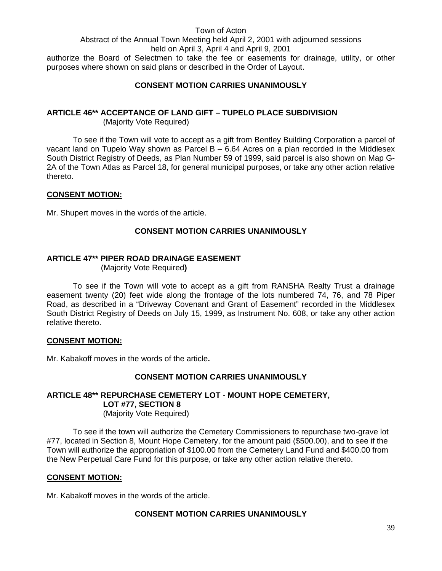#### Abstract of the Annual Town Meeting held April 2, 2001 with adjourned sessions held on April 3, April 4 and April 9, 2001

authorize the Board of Selectmen to take the fee or easements for drainage, utility, or other purposes where shown on said plans or described in the Order of Layout.

# **CONSENT MOTION CARRIES UNANIMOUSLY**

# **ARTICLE 46\*\* ACCEPTANCE OF LAND GIFT – TUPELO PLACE SUBDIVISION**

(Majority Vote Required)

 To see if the Town will vote to accept as a gift from Bentley Building Corporation a parcel of vacant land on Tupelo Way shown as Parcel  $B - 6.64$  Acres on a plan recorded in the Middlesex South District Registry of Deeds, as Plan Number 59 of 1999, said parcel is also shown on Map G-2A of the Town Atlas as Parcel 18, for general municipal purposes, or take any other action relative thereto.

# **CONSENT MOTION:**

Mr. Shupert moves in the words of the article.

# **CONSENT MOTION CARRIES UNANIMOUSLY**

# **ARTICLE 47\*\* PIPER ROAD DRAINAGE EASEMENT**

(Majority Vote Required**)** 

 To see if the Town will vote to accept as a gift from RANSHA Realty Trust a drainage easement twenty (20) feet wide along the frontage of the lots numbered 74, 76, and 78 Piper Road, as described in a "Driveway Covenant and Grant of Easement" recorded in the Middlesex South District Registry of Deeds on July 15, 1999, as Instrument No. 608, or take any other action relative thereto.

#### **CONSENT MOTION:**

Mr. Kabakoff moves in the words of the article**.** 

#### **CONSENT MOTION CARRIES UNANIMOUSLY**

# **ARTICLE 48\*\* REPURCHASE CEMETERY LOT - MOUNT HOPE CEMETERY, LOT #77, SECTION 8**

(Majority Vote Required)

 To see if the town will authorize the Cemetery Commissioners to repurchase two-grave lot #77, located in Section 8, Mount Hope Cemetery, for the amount paid (\$500.00), and to see if the Town will authorize the appropriation of \$100.00 from the Cemetery Land Fund and \$400.00 from the New Perpetual Care Fund for this purpose, or take any other action relative thereto.

#### **CONSENT MOTION:**

Mr. Kabakoff moves in the words of the article.

# **CONSENT MOTION CARRIES UNANIMOUSLY**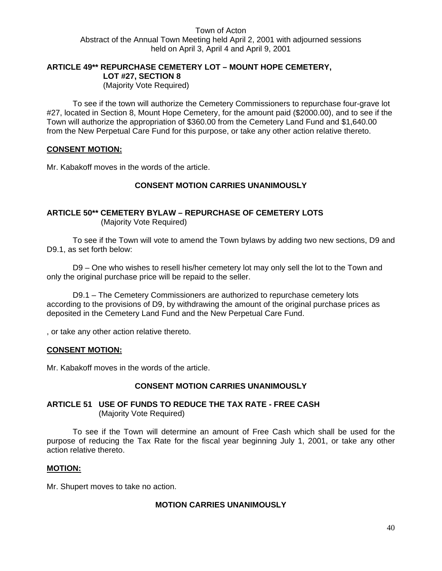# **ARTICLE 49\*\* REPURCHASE CEMETERY LOT – MOUNT HOPE CEMETERY, LOT #27, SECTION 8**

(Majority Vote Required)

 To see if the town will authorize the Cemetery Commissioners to repurchase four-grave lot #27, located in Section 8, Mount Hope Cemetery, for the amount paid (\$2000.00), and to see if the Town will authorize the appropriation of \$360.00 from the Cemetery Land Fund and \$1,640.00 from the New Perpetual Care Fund for this purpose, or take any other action relative thereto.

#### **CONSENT MOTION:**

Mr. Kabakoff moves in the words of the article.

#### **CONSENT MOTION CARRIES UNANIMOUSLY**

#### **ARTICLE 50\*\* CEMETERY BYLAW – REPURCHASE OF CEMETERY LOTS** (Majority Vote Required)

To see if the Town will vote to amend the Town bylaws by adding two new sections, D9 and D9.1, as set forth below:

D9 – One who wishes to resell his/her cemetery lot may only sell the lot to the Town and only the original purchase price will be repaid to the seller.

D9.1 – The Cemetery Commissioners are authorized to repurchase cemetery lots according to the provisions of D9, by withdrawing the amount of the original purchase prices as deposited in the Cemetery Land Fund and the New Perpetual Care Fund.

, or take any other action relative thereto.

#### **CONSENT MOTION:**

Mr. Kabakoff moves in the words of the article.

#### **CONSENT MOTION CARRIES UNANIMOUSLY**

#### **ARTICLE 51 USE OF FUNDS TO REDUCE THE TAX RATE - FREE CASH** (Majority Vote Required)

 To see if the Town will determine an amount of Free Cash which shall be used for the purpose of reducing the Tax Rate for the fiscal year beginning July 1, 2001, or take any other action relative thereto.

#### **MOTION:**

Mr. Shupert moves to take no action.

#### **MOTION CARRIES UNANIMOUSLY**